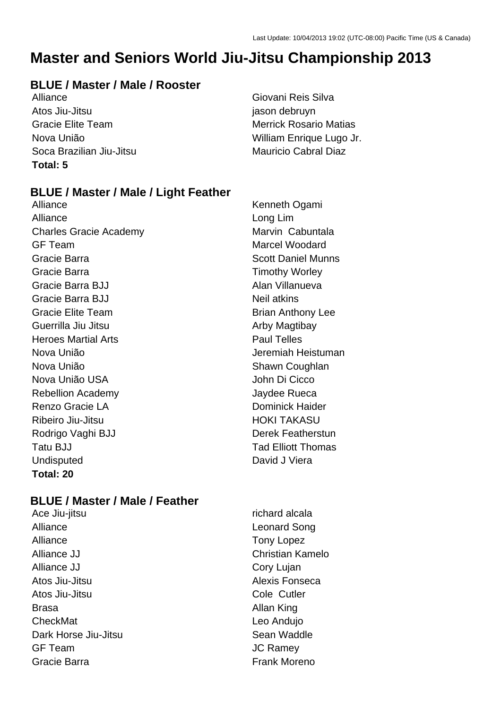# **Master and Seniors World Jiu-Jitsu Championship 2013**

#### **BLUE / Master / Male / Rooster**

Alliance Giovani Reis Silva Atos Jiu-Jitsu jason debruyn Gracie Elite Team **Merrick Rosario Matias** Soca Brazilian Jiu-Jitsu Mauricio Cabral Diaz **Total: 5**

Nova União William Enrique Lugo Jr.

#### **BLUE / Master / Male / Light Feather**

Alliance Kenneth Ogami Alliance Long Lim Charles Gracie Academy Marvin Cabuntala GF Team Marcel Woodard Gracie Barra **Scott Daniel Munns** Scott Daniel Munns Gracie Barra **Timothy Worley** Gracie Barra BJJ **Alan Villanueva** Gracie Barra BJJ Neil atkins Gracie Elite Team **Brian Anthony Lee** Guerrilla Jiu Jitsu **Arby Magtibay** Arby Magtibay Heroes Martial Arts **Paul Telles** Nova União **Jeremiah Heistuman** Nova União **Nova União** e a constructiva e Shawn Coughlan Nova União USA John Di Cicco Rebellion Academy **Contract Contract Contract Accord Payable Rueca** Renzo Gracie LA **Dominick Haider** Ribeiro Jiu-Jitsu **HOKI TAKASU** Rodrigo Vaghi BJJ Derek Featherstun Tatu BJJ Tatu Britannia Christian Tad Elliott Thomas Undisputed David J Viera **Total: 20**

#### **BLUE / Master / Male / Feather**

- Alliance Leonard Song Alliance Tony Lopez Alliance JJ Christian Kamelo Alliance JJ Cory Lujan Atos Jiu-Jitsu **Alexis Fonseca** Atos Jiu-Jitsu Cole Cutler Brasa **Brasa** Allan King CheckMat Leo Andujo Dark Horse Jiu-Jitsu **Sean Waddle** Sean Waddle GF Team JC Ramey Gracie Barra **Frank Moreno**
- Ace Jiu-jitsu richard alcala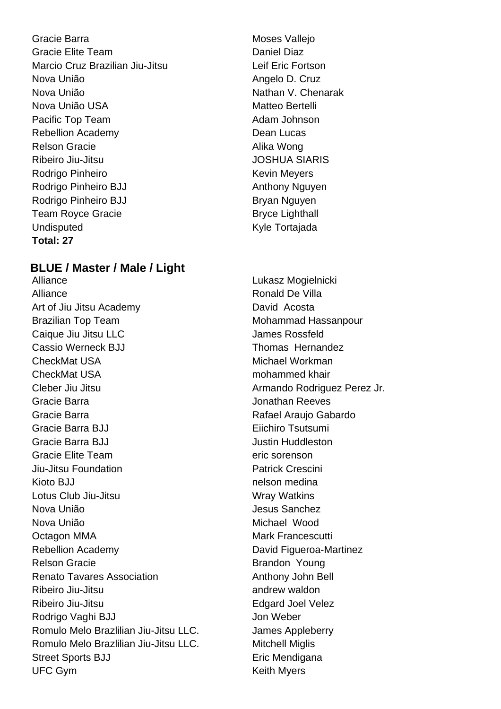Gracie Barra **Moses** Vallejo Gracie Elite Team Daniel Diaz Marcio Cruz Brazilian Jiu-Jitsu **Legensian Legensian Legensian** Leif Eric Fortson Nova União **Angelo D. Cruz** Nova União **Nathan V. Chenarak** Nova União USA Matteo Bertelli Pacific Top Team **Adam Johnson** Adam Johnson Rebellion Academy **Dean Lucas** Relson Gracie **Alika Wong** Ribeiro Jiu-Jitsu **JOSHUA SIARIS** Rodrigo Pinheiro **Kevin Meyers** Kevin Meyers Rodrigo Pinheiro BJJ Anthony Nguyen Rodrigo Pinheiro BJJ Bryan Nguyen Team Royce Gracie **Bryce Lighthall** Undisputed Kyle Tortajada **Total: 27**

#### **BLUE / Master / Male / Light**

Alliance Lukasz Mogielnicki Alliance **Ronald De Villa** Art of Jiu Jitsu Academy David Acosta Brazilian Top Team Mohammad Hassanpour Caique Jiu Jitsu LLC James Rossfeld Cassio Werneck BJJ Thomas Hernandez CheckMat USA Michael Workman CheckMat USA mohammed khair Cleber Jiu Jitsu **Armando Rodriguez Perez Jr.** Armando Rodriguez Perez Jr. Gracie Barra Jonathan Reeves Gracie Barra **Rafael Araujo Gabardo** Gracie Barra BJJ Eiichiro Tsutsumi Gracie Barra BJJ **Gracie Barra Bullange Communist Communist Communist Communist Communist Communist Communist Communist Communist Communist Communist Communist Communist Communist Communist Communist Communist Communist Co** Gracie Elite Team eric sorenson Jiu-Jitsu Foundation Patrick Crescini Kioto BJJ **nelson medina** Lotus Club Jiu-Jitsu New York Wray Watkins Nova União **Nova União** de Sanchez Nova União **Michael Wood** Octagon MMA Mark Francescutti Rebellion Academy **David Figueroa-Martinez** Relson Gracie **Brandon Young** Renato Tavares Association **Anthony John Bell** Ribeiro Jiu-Jitsu andrew waldon Ribeiro Jiu-Jitsu **Edgard Joel Velez** Rodrigo Vaghi BJJ Jon Weber Romulo Melo Brazlilian Jiu-Jitsu LLC. James Appleberry Romulo Melo Brazlilian Jiu-Jitsu LLC. Mitchell Miglis Street Sports BJJ Eric Mendigana UFC Gym **Keith Myers** Keith Myers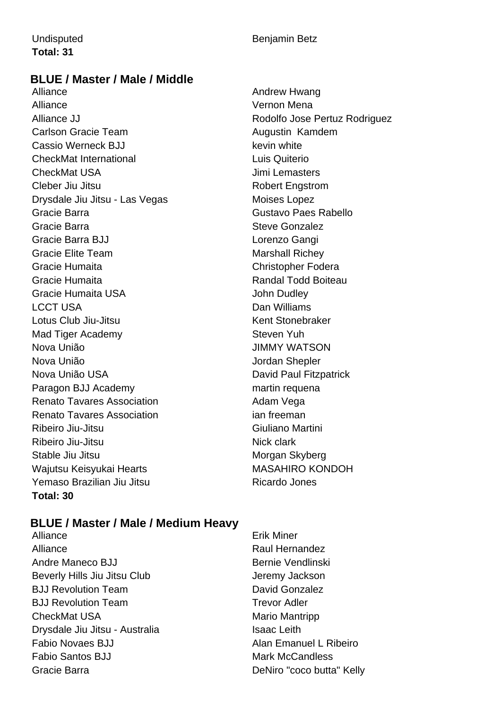# **Total: 31**

#### Undisputed **Benjamin Betz**

#### **BLUE / Master / Male / Middle**

Alliance **Alliance** Andrew Hwang Alliance Vernon Mena Alliance JJ **Rodolfo Jose Pertuz Rodriguez** Carlson Gracie Team **Augustin** Kamdem Cassio Werneck BJJ **Keysing Cassio Werneck BJJ** CheckMat International Luis Quiterio CheckMat USA Jimi Lemasters Cleber Jiu Jitsu **Robert Engstrom** Drysdale Jiu Jitsu - Las Vegas Moises Lopez Gracie Barra Gustavo Paes Rabello Gracie Barra **Steve Gonzalez** Steve Gonzalez Gracie Barra BJJ Lorenzo Gangi Gracie Elite Team Marshall Richey Gracie Humaita Christopher Fodera Gracie Humaita **Randal Todd Boiteau** Gracie Humaita USA **John Dudley** LCCT USA Dan Williams Lotus Club Jiu-Jitsu Kent Stonebraker Mad Tiger Academy Steven Yuh Nova União JIMMY WATSON Nova União **Nova União** de California e a Universidade de Serbergera de La California de Jordan Shepler Nova União USA David Paul Fitzpatrick Paragon BJJ Academy martin requena Renato Tavares Association **Adam Vega** Renato Tavares Association in the same ian freeman Ribeiro Jiu-Jitsu Giuliano Martini Ribeiro Jiu-Jitsu **Nick clark** Nick clark Stable Jiu Jitsu **Morgan Skyberg** Morgan Skyberg Wajutsu Keisyukai Hearts MASAHIRO KONDOH Yemaso Brazilian Jiu Jitsu **Ricardo Jones** Ricardo Jones **Total: 30**

#### **BLUE / Master / Male / Medium Heavy**

- Alliance **Example 2018** Erik Miner Alliance **Raul Hernandez** Andre Maneco BJJ Bernie Vendlinski Beverly Hills Jiu Jitsu Club Jeremy Jackson **BJJ Revolution Team Concrete Contract Convention Convention Convention Convention Convention Convention Convention Convention Convention Convention Convention Convention Convention Convention Convention Convention Convent BJJ Revolution Team Trevor Adler** CheckMat USA Mario Mantripp Drysdale Jiu Jitsu - Australia Isaac Leith Fabio Novaes BJJ Alan Emanuel L Ribeiro Fabio Santos BJJ Mark McCandless Gracie Barra **DeNiro "coco butta"** Kelly
-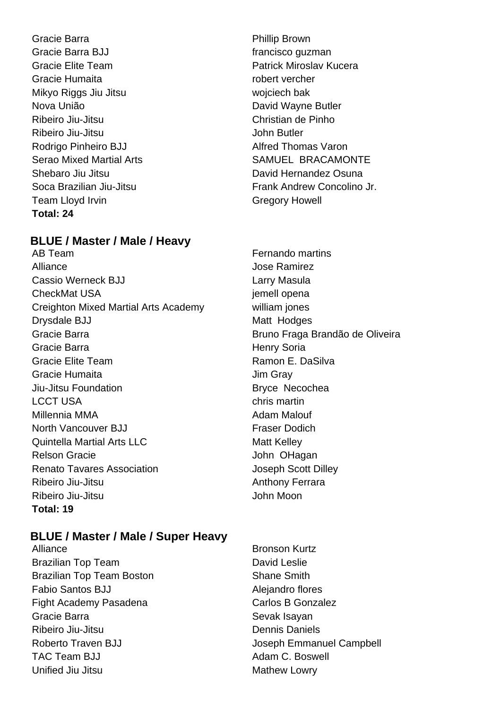Gracie Barra **Phillip Brown** Gracie Barra BJJ **francisco** guzman Gracie Elite Team **Patrick Miroslav Kucera** Gracie Humaita **robert vercher** Mikyo Riggs Jiu Jitsu wojciech bak Nova União **Nova União** David Wayne Butler Ribeiro Jiu-Jitsu Christian de Pinho Ribeiro Jiu-Jitsu **Guida anticerto a Contracto Contracto Contracto Contracto Contracto Contracto Contracto Contracto Contracto Contracto Contracto Contracto Contracto Contracto Contracto Contracto Contracto Contracto Contr** Rodrigo Pinheiro BJJ **Alfred Thomas Varon** Shebaro Jiu Jitsu David Hernandez Osuna Team Lloyd Irvin Gregory Howell **Total: 24**

#### **BLUE / Master / Male / Heavy**

AB Team **Fernando martins** Alliance Jose Ramirez Cassio Werneck BJJ **Larry Masula** CheckMat USA in the contract of the contract of the contract of the contract of the contract of the contract of the contract of the contract of the contract of the contract of the contract of the contract of the contract o Creighton Mixed Martial Arts Academy william jones Drysdale BJJ Matt Hodges Gracie Barra **Bruno Fraga Brandão de Oliveira** Gracie Barra **Henry Soria** Henry Soria Gracie Elite Team **Ramon E. DaSilva** Gracie Humaita **Gracia** Jim Gray Jiu-Jitsu Foundation **Bryce Necochea** LCCT USA chris martin Millennia MMA **Adam Malouf** Adam Malouf North Vancouver BJJ **Frame Contract Praser Dodich** Quintella Martial Arts LLC Matt Kelley Relson Gracie **Gracial Community** John OHagan Renato Tavares Association and Tavares Association and Joseph Scott Dilley Ribeiro Jiu-Jitsu **Anthony Ferrara** Ribeiro Jiu-Jitsu **John Moon Total: 19**

#### **BLUE / Master / Male / Super Heavy**

Brazilian Top Team David Leslie Brazilian Top Team Boston Shane Smith Fabio Santos BJJ Alejandro flores Fight Academy Pasadena Carlos B Gonzalez Gracie Barra News, 1980, 1991, 1992, 1993, 1994, 1994, 1994, 1995, 1996, 1997, 1998, 1998, 1998, 199 Ribeiro Jiu-Jitsu **Dennis Daniels** TAC Team BJJ Adam C. Boswell Unified Jiu Jitsu **Mathew Lowry** Mathew Lowry

- Serao Mixed Martial Arts SAMUEL BRACAMONTE Soca Brazilian Jiu-Jitsu **Frank Andrew Concolino Jr.** Frank Andrew Concolino Jr.
	-
- Alliance **Bronson Kurtz** Roberto Traven BJJ **Notes and American** Joseph Emmanuel Campbell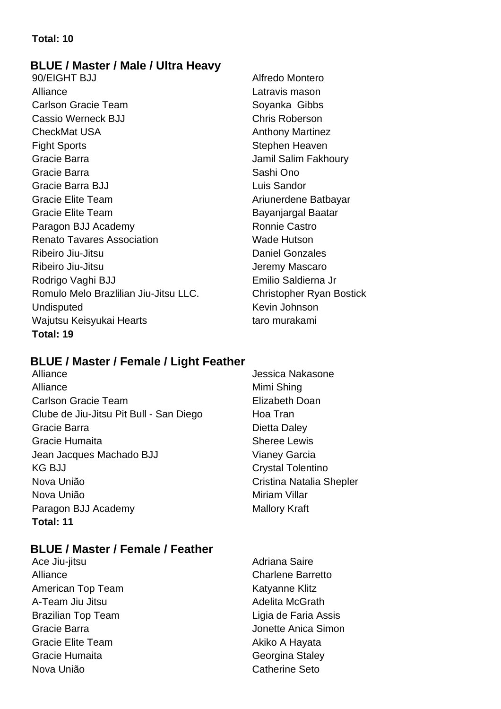#### **Total: 10**

#### **BLUE / Master / Male / Ultra Heavy**

90/EIGHT BJJ Alfredo Montero Alliance **Latravis mason** Carlson Gracie Team Soyanka Gibbs Cassio Werneck BJJ Chris Roberson CheckMat USA **Anthony Martinez** Fight Sports **Stephen Heaven** Gracie Barra **Jamil Salim Fakhoury** Jamil Salim Fakhoury Gracie Barra **Sashi Ono** Gracie Barra BJJ **Luis Sandor** Luis Sandor Gracie Elite Team **Ariunerdene Batbayar** Ariunerdene Batbayar Gracie Elite Team Bayanjargal Baatar Paragon BJJ Academy Ronnie Castro Renato Tavares Association Network Wade Hutson Ribeiro Jiu-Jitsu **Daniel Gonzales** Ribeiro Jiu-Jitsu **Galimeiro de Santonio de Santonio de Santonio de Santonio de Santonio de Santonio de Santonio** Rodrigo Vaghi BJJ **Emilio Saldierna Jr** Emilio Saldierna Jr Romulo Melo Brazlilian Jiu-Jitsu LLC. Christopher Ryan Bostick Undisputed Kevin Johnson Wajutsu Keisyukai Hearts taro murakami **Total: 19**

#### **BLUE / Master / Female / Light Feather**

Alliance **Alliance** Jessica Nakasone Alliance Mimi Shing Carlson Gracie Team Elizabeth Doan Clube de Jiu-Jitsu Pit Bull - San Diego Hoa Tran Gracie Barra **Dietta** Daley Gracie Humaita **Sheree Lewis** Jean Jacques Machado BJJ Vianey Garcia KG BJJ Crystal Tolentino Nova União Cristina Natalia Shepler Nova União **Miriam Villar** Paragon BJJ Academy Mallory Kraft **Total: 11**

#### **BLUE / Master / Female / Feather**

Ace Jiu-jitsu **Adriana** Saire Alliance Charlene Barretto American Top Team Katyanne Klitz A-Team Jiu Jitsu **Adelita McGrath** Brazilian Top Team **Ligia de Faria Assis** Gracie Barra **Gracia** Contract Contract Anica Simon Gracie Elite Team **Akille A Hayata** A Hayata Gracie Humaita **Georgina** Staley Nova União **Catherine** Seto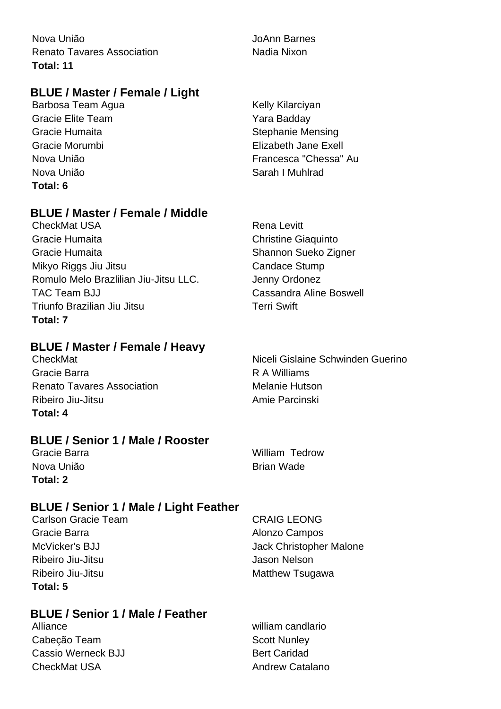Nova União JoAnn Barnes Renato Tavares Association Nadia Nixon **Total: 11**

#### **BLUE / Master / Female / Light**

Barbosa Team Agua **Kelly Kilarciyan** Kelly Kilarciyan Gracie Elite Team **Yara Badday** Gracie Humaita **Stephanie Mensing** Nova União **Sarah I Muhlrad Total: 6**

#### **BLUE / Master / Female / Middle**

CheckMat USA **Rena Levitt** Gracie Humaita Christine Giaquinto Gracie Humaita **Shannon** Sueko Zigner Mikyo Riggs Jiu Jitsu **Candace Stump** Romulo Melo Brazlilian Jiu-Jitsu LLC. Shanny Ordonez TAC Team BJJ Cassandra Aline Boswell Triunfo Brazilian Jiu Jitsu Terri Swift **Total: 7**

#### **BLUE / Master / Female / Heavy**

Gracie Barra **R A Williams** Renato Tavares Association Melanie Hutson Ribeiro Jiu-Jitsu Amie Parcinski **Total: 4**

#### **BLUE / Senior 1 / Male / Rooster**

Nova União **Brian Wade Total: 2**

#### **BLUE / Senior 1 / Male / Light Feather**

Gracie Barra **Alonzo Campos Alonzo Campos** Ribeiro Jiu-Jitsu **Jason Nelson** Ribeiro Jiu-Jitsu **Matthew Tsugawa** Matthew Tsugawa **Total: 5**

#### **BLUE / Senior 1 / Male / Feather**

Alliance william candlario Cabeção Team Scott Nunley Cassio Werneck BJJ Bert Caridad CheckMat USA **Andrew Catalano Andrew Catalano** 

Gracie Morumbi Elizabeth Jane Exell Nova União Francesca "Chessa" Au

CheckMat Niceli Gislaine Schwinden Guerino

Gracie Barra William Tedrow

Carlson Gracie Team CRAIG LEONG McVicker's BJJ **Moview Christopher Malone**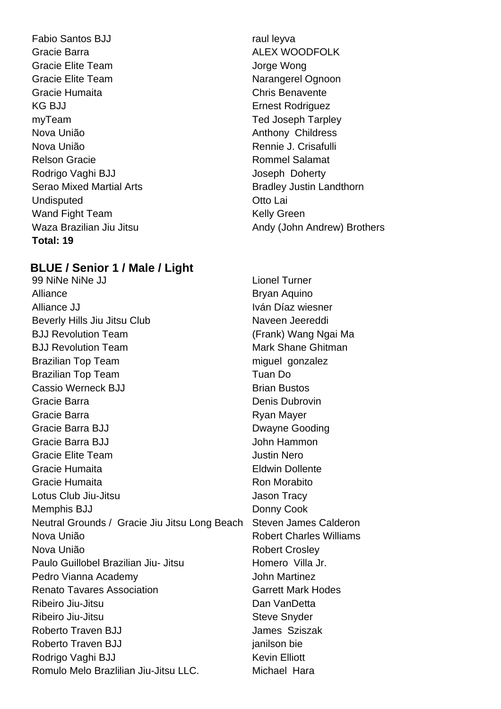Fabio Santos BJJ raul leyva Gracie Barra **ALEX WOODFOLK** Gracie Elite Team Jorge Wong Gracie Elite Team Narangerel Ognoon Gracie Humaita Chris Benavente KG BJJ **Ernest Rodriguez** myTeam Ted Joseph Tarpley Nova União **Anthony Childress** Nova União Rennie J. Crisafulli Relson Gracie **Relson Gracie Rommel Salamat** Rodrigo Vaghi BJJ **Joseph Doherty** Serao Mixed Martial Arts **Bradley Justin Landthorn** Undisputed **Otto Lai** Wand Fight Team Kelly Green **Total: 19**

#### **BLUE / Senior 1 / Male / Light**

99 NiNe NiNe JJ Lionel Turner Alliance **Bryan Aquino** Alliance JJ **IVán Díaz wiesner** Beverly Hills Jiu Jitsu Club Naveen Jeereddi BJJ Revolution Team (Frank) Wang Ngai Ma BJJ Revolution Team Mark Shane Ghitman Brazilian Top Team miguel gonzalez Brazilian Top Team Tuan Do Cassio Werneck BJJ Brian Bustos Gracie Barra **Denis Dubrovin** Denis Dubrovin Gracie Barra **Ryan Mayer** Ryan Mayer Gracie Barra BJJ Dwayne Gooding Gracie Barra BJJ John Hammon Gracie Elite Team **Gracie Elite Team** Justin Nero Gracie Humaita Eldwin Dollente Gracie Humaita **Ron Morabito** Ron Morabito Lotus Club Jiu-Jitsu **Jason Tracy** Memphis BJJ Donny Cook Neutral Grounds / Gracie Jiu Jitsu Long Beach Steven James Calderon Nova União **Nova União** e a constructiva e a Robert Charles Williams Nova União **Nova União** Robert Crosley Paulo Guillobel Brazilian Jiu- Jitsu Homero Villa Jr. Pedro Vianna Academy **John Martinez** Renato Tavares Association The Garrett Mark Hodes Ribeiro Jiu-Jitsu **Dan VanDetta** Ribeiro Jiu-Jitsu **Steve Snyder** Steve Snyder Roberto Traven BJJ **James** Sziszak Roberto Traven BJJ ianilson bie Rodrigo Vaghi BJJ Kevin Elliott Romulo Melo Brazlilian Jiu-Jitsu LLC. Michael Hara

Waza Brazilian Jiu Jitsu **Andy (John Andrew) Brothers**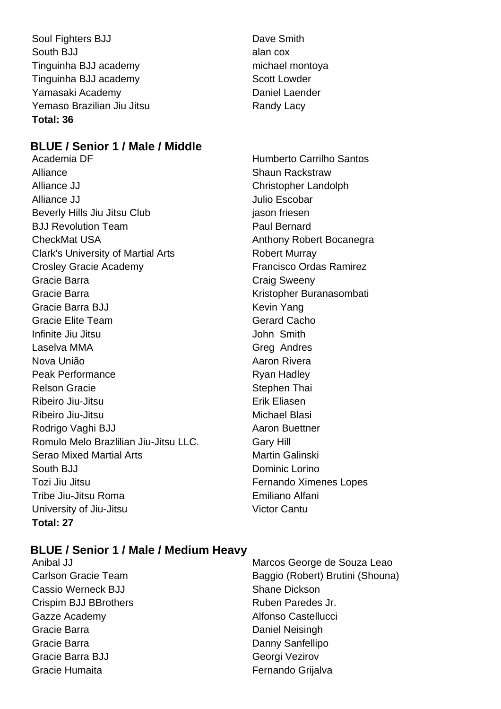Soul Fighters BJJ Dave Smith South BJJ alan cox Tinguinha BJJ academy michael montoya Tinguinha BJJ academy Scott Lowder Yamasaki Academy **Daniel Laender** Yemaso Brazilian Jiu Jitsu **Randy Lacy Total: 36**

#### **BLUE / Senior 1 / Male / Middle**

Academia DF Humberto Carrilho Santos Alliance **Shaun Rackstraw** Alliance JJ Christopher Landolph Alliance JJ **Alliance** JJ **Alliance** JJ **Alliance** JJ **Julio Escobar** Beverly Hills Jiu Jitsu Club jason friesen BJJ Revolution Team **Paul Bernard** CheckMat USA **Anthony Robert Bocanegra** Anthony Robert Bocanegra Clark's University of Martial Arts **Robert Murray** Crosley Gracie Academy **Francisco Ordas Ramirez** Gracie Barra **Craig Sweeny** Gracie Barra **Kristopher Buranasombati** Gracie Barra BJJ Kevin Yang Gracie Elite Team Gerard Cacho Infinite Jiu Jitsu **John Smith** Laselva MMA Greg Andres Nova União **Aaron Rivera** Aaron Rivera Peak Performance **Ryan Hadley** Relson Gracie **Stephen Thai** Ribeiro Jiu-Jitsu **Erik Eliasen** Ribeiro Jiu-Jitsu **Michael Blasi** Rodrigo Vaghi BJJ Aaron Buettner Romulo Melo Brazlilian Jiu-Jitsu LLC. **Gary Hill** Serao Mixed Martial Arts **Martial Arts** Martin Galinski South BJJ Dominic Lorino Tozi Jiu Jitsu Fernando Ximenes Lopes Tribe Jiu-Jitsu Roma Emiliano Alfani University of Jiu-Jitsu Victor Cantu **Total: 27**

# **BLUE / Senior 1 / Male / Medium Heavy**

- Cassio Werneck BJJ Shane Dickson Crispim BJJ BBrothers Ruben Paredes Jr. Gazze Academy **Alfonso Castellucci** Gracie Barra **Daniel Neisingh** Daniel Neisingh Gracie Barra **Danny Sanfellipo** Gracie Barra BJJ Georgi Vezirov Gracie Humaita **Fernando Grijalva**
- Anibal JJ Marcos George de Souza Leao Carlson Gracie Team Baggio (Robert) Brutini (Shouna)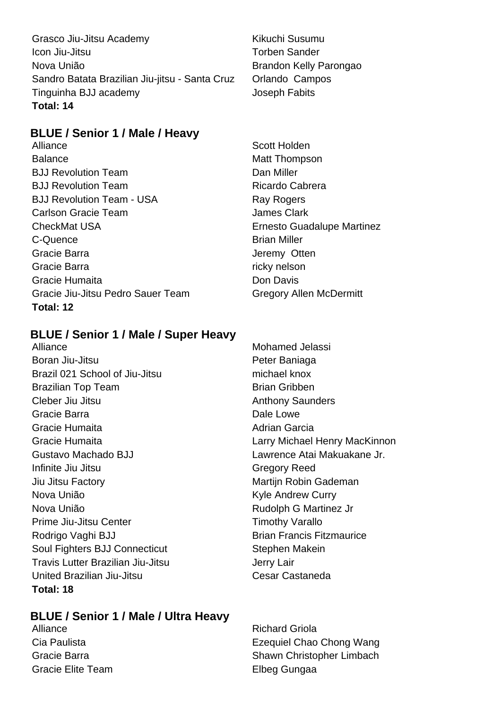Grasco Jiu-Jitsu Academy **Kikuchi Susumu** Icon Jiu-Jitsu Torben Sander Nova União **Brandon Kelly Parongao** Sandro Batata Brazilian Jiu-jitsu - Santa Cruz Orlando Campos Tinguinha BJJ academy Joseph Fabits **Total: 14**

#### **BLUE / Senior 1 / Male / Heavy**

Alliance Scott Holden Balance Matt Thompson BJJ Revolution Team **Dan Miller** BJJ Revolution Team Ricardo Cabrera BJJ Revolution Team - USA Ray Rogers Carlson Gracie Team **James Clark** CheckMat USA Ernesto Guadalupe Martinez C-Quence Brian Miller Gracie Barra **Jeremy Otten** Gracie Barra **ricky** nelson Gracie Humaita **Don Davis** Gracie Jiu-Jitsu Pedro Sauer Team Gregory Allen McDermitt **Total: 12**

#### **BLUE / Senior 1 / Male / Super Heavy**

Alliance Mohamed Jelassi Boran Jiu-Jitsu **Boran Jiu-Jitsu** Peter Baniaga Brazil 021 School of Jiu-Jitsu michael knox Brazilian Top Team Brian Gribben Cleber Jiu Jitsu **Anthony Saunders** Anthony Saunders Gracie Barra **Dale Lowe** Gracie Humaita **Adrian Garcia** Adrian Garcia Gracie Humaita Larry Michael Henry MacKinnon Gustavo Machado BJJ Lawrence Atai Makuakane Jr. Infinite Jiu Jitsu **Gregory Reed** Jiu Jitsu Factory **Martigmum** Martijn Robin Gademan Nova União **Kyle Andrew Curry** Nova União Rudolph G Martinez Jr Prime Jiu-Jitsu Center Timothy Varallo Rodrigo Vaghi BJJ Brian Francis Fitzmaurice Soul Fighters BJJ Connecticut Stephen Makein Travis Lutter Brazilian Jiu-Jitsu Jerry Lair United Brazilian Jiu-Jitsu Cesar Castaneda **Total: 18**

#### **BLUE / Senior 1 / Male / Ultra Heavy**

Alliance Richard Griola Cia Paulista Ezequiel Chao Chong Wang Gracie Barra **Shawn Christopher Limbach** Shawn Christopher Limbach Gracie Elite Team **Elbeg Gungaa**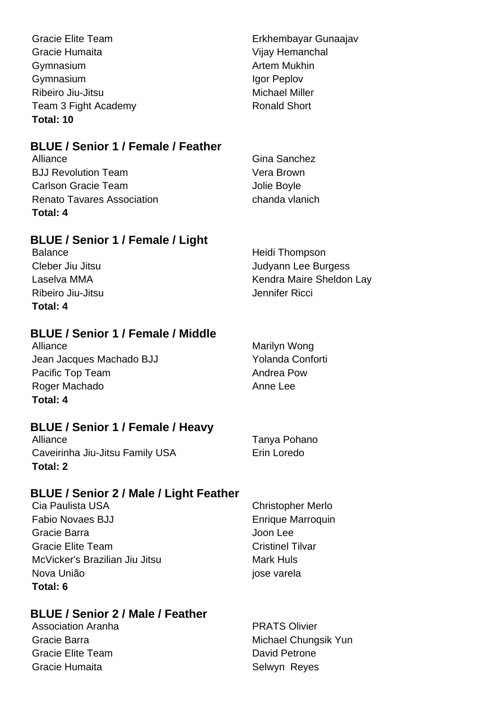| <b>Gracie Elite Team</b> | Erkhembayar Gunaajav  |
|--------------------------|-----------------------|
| Gracie Humaita           | Vijay Hemanchal       |
| Gymnasium                | <b>Artem Mukhin</b>   |
| Gymnasium                | Igor Peplov           |
| Ribeiro Jiu-Jitsu        | <b>Michael Miller</b> |
| Team 3 Fight Academy     | <b>Ronald Short</b>   |
| Total: 10                |                       |

#### **BLUE / Senior 1 / Female / Feather**

| Alliance                          | Gina Sanchez   |
|-----------------------------------|----------------|
| <b>BJJ Revolution Team</b>        | Vera Brown     |
| Carlson Gracie Team               | Jolie Boyle    |
| <b>Renato Tavares Association</b> | chanda vlanich |
| Total: 4                          |                |

## **BLUE / Senior 1 / Female / Light**

Balance Heidi Thompson Cleber Jiu Jitsu Judyann Lee Burgess Laselva MMA **Kendra Maire Sheldon Lay** Ribeiro Jiu-Jitsu **Jennifer Ricci** Jennifer Ricci **Total: 4**

**BLUE / Senior 1 / Female / Middle**

Alliance Marilyn Wong Marilyn Wong Jean Jacques Machado BJJ Yolanda Conforti Pacific Top Team Andrea Pow Roger Machado **Anne Lee Total: 4**

## **BLUE / Senior 1 / Female / Heavy**

Alliance Tanya Pohano Caveirinha Jiu-Jitsu Family USA Erin Loredo **Total: 2**

## **BLUE / Senior 2 / Male / Light Feather**

Cia Paulista USA Christopher Merlo Fabio Novaes BJJ **Enrique Marroquin** Gracie Barra **Gracia** Company and Company and Company and Company and Company and Company and Company and Company and Company and Company and Company and Company and Company and Company and Company and Company and Company Gracie Elite Team Cristinel Tilvar McVicker's Brazilian Jiu Jitsu Mark Huls Nova União internacional de la provincia de la pose varela **Total: 6**

## **BLUE / Senior 2 / Male / Feather**

Association Aranha **PRATS** Olivier Gracie Elite Team **David Petrone** Gracie Humaita **Selwyn Reyes** Selwyn Reyes

Gracie Barra **Michael Chungsik Yun**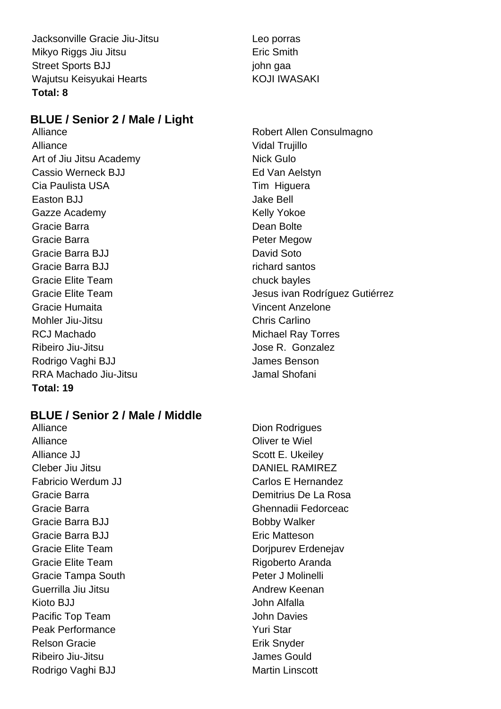Jacksonville Gracie Jiu-Jitsu Leo porras Mikyo Riggs Jiu Jitsu **Example 2018** Eric Smith Street Sports BJJ john gaa Wajutsu Keisyukai Hearts KOJI IWASAKI **Total: 8**

#### **BLUE / Senior 2 / Male / Light**

Alliance Vidal Trujillo Art of Jiu Jitsu Academy Nick Gulo Cassio Werneck BJJ **Ed Van Aelstyn** Cia Paulista USA Tim Higuera Easton BJJ Jake Bell Gazze Academy **Kelly Yokoe Kelly Yokoe** Gracie Barra **Dean Bolte** Gracie Barra **Peter Megow** Peter Megow Gracie Barra BJJ David Soto Gracie Barra BJJ **richard santos** Gracie Elite Team chuck bayles Gracie Humaita Vincent Anzelone Mohler Jiu-Jitsu Chris Carlino RCJ Machado **Michael Ray Torres** Ribeiro Jiu-Jitsu **Anticese State Anticese State Anticese** Jose R. Gonzalez Rodrigo Vaghi BJJ **James Benson** RRA Machado Jiu-Jitsu **Jamal Shofani Total: 19**

#### **BLUE / Senior 2 / Male / Middle**

Alliance Dion Rodrigues Alliance **Oliver** te Wiel Alliance JJ Scott E. Ukeiley Cleber Jiu Jitsu **DANIEL RAMIREZ** Fabricio Werdum JJ Carlos E Hernandez Gracie Barra Ghennadii Fedorceac Gracie Barra BJJ Bobby Walker Gracie Barra BJJ **Example 2018** Eric Matteson Gracie Elite Team **Doripurev Erdenejav** Gracie Elite Team **Rigoberto Aranda** Gracie Tampa South **Peter J Molinelli** Guerrilla Jiu Jitsu **Andrew Keenan** Kioto BJJ John Alfalla Pacific Top Team **John Davies** Peak Performance **Yuri Star** Relson Gracie **Erik Snyder** Erik Snyder Ribeiro Jiu-Jitsu **Internationalista de la contrata de la contrata de la contrata de la contrata de la contrata de la contrata de la contrata de la contrata de la contrata de la contrata de la contrata de la contrata de la** Rodrigo Vaghi BJJ Martin Linscott

Alliance Robert Allen Consulmagno Gracie Elite Team **Gracie Elite Team** Jesus ivan Rodríguez Gutiérrez

Gracie Barra **Demitrius De La Rosa**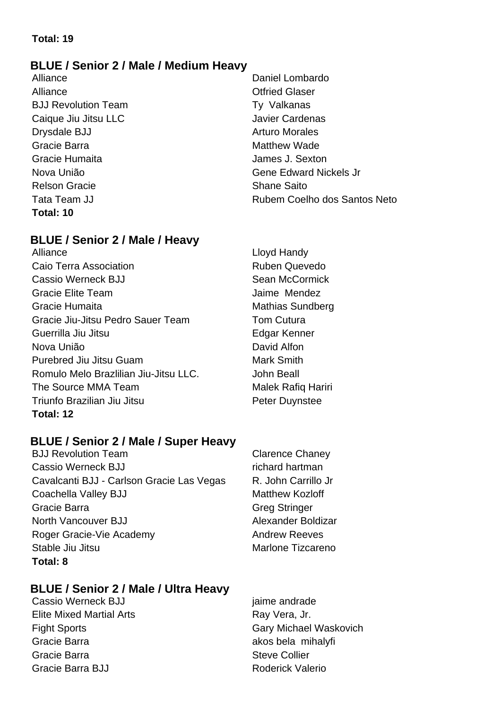#### **Total: 19**

#### **BLUE / Senior 2 / Male / Medium Heavy**

Alliance **Contract Contract Contract Contract Contract Contract Contract Contract Contract Contract Contract Contract Contract Contract Contract Contract Contract Contract Contract Contract Contract Contract Contract Contr** BJJ Revolution Team Ty Valkanas Caique Jiu Jitsu LLC Javier Cardenas Drysdale BJJ Arturo Morales Gracie Barra **Matthew Wade Matthew Wade** Gracie Humaita James J. Sexton Relson Gracie **Shane** Shane Saito **Total: 10**

#### **BLUE / Senior 2 / Male / Heavy**

Alliance Lloyd Handy Caio Terra Association **Ruben Quevedo** Cassio Werneck BJJ Sean McCormick Gracie Elite Team Jaime Mendez Gracie Humaita **Mathias Sundberg** Mathias Sundberg Gracie Jiu-Jitsu Pedro Sauer Team Tom Cutura Guerrilla Jiu Jitsu **Edgar Kenner** Nova União **David Alfon** Purebred Jiu Jitsu Guam **Mark Smith** Mark Smith Romulo Melo Brazlilian Jiu-Jitsu LLC. John Beall The Source MMA Team Malek Rafiq Hariri Triunfo Brazilian Jiu Jitsu **Network Channel Peter Duynstee Total: 12**

#### **BLUE / Senior 2 / Male / Super Heavy**

BJJ Revolution Team Clarence Chaney Cassio Werneck BJJ **Research State State State State State State State State State State State State State State State State State State State State State State State State State State State State State State State State S** Cavalcanti BJJ - Carlson Gracie Las Vegas R. John Carrillo Jr Coachella Valley BJJ Matthew Kozloff Gracie Barra Greg Stringer North Vancouver BJJ Alexander Boldizar Roger Gracie-Vie Academy **Andrew Reeves** Stable Jiu Jitsu **Maria Litting Stable Jiu Jitsu** Marione Tizcareno **Total: 8**

#### **BLUE / Senior 2 / Male / Ultra Heavy**

Cassio Werneck BJJ jaime andrade Elite Mixed Martial Arts **Ray Vera, Jr.** Ray Vera, Jr. Gracie Barra **akos bela mihalyfi** Gracie Barra **Steve Collier** Steve Collier Gracie Barra BJJ **Roderick Valerio** 

Alliance Daniel Lombardo Nova União Gene Edward Nickels Jr Tata Team JJ Rubem Coelho dos Santos Neto

Fight Sports Gary Michael Waskovich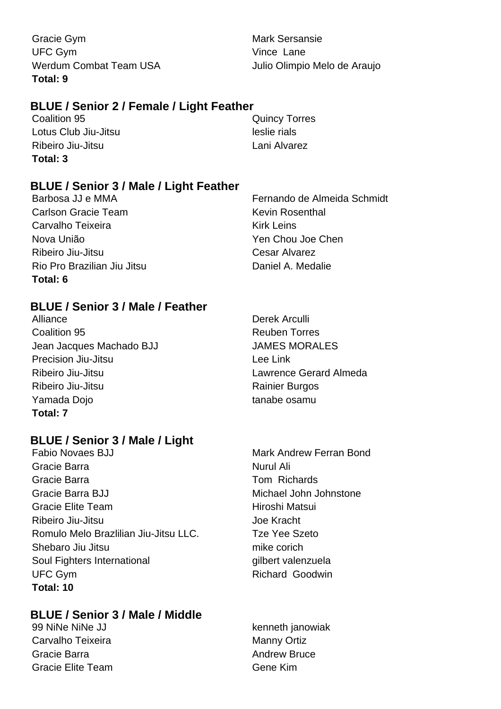Gracie Gym **Mark Sersansie** UFC Gym Vince Lane **Total: 9**

Werdum Combat Team USA Julio Olimpio Melo de Araujo

#### **BLUE / Senior 2 / Female / Light Feather**

**Coalition 95 Coalition 95** Quincy Torres Lotus Club Jiu-Jitsu leslie rials Ribeiro Jiu-Jitsu **Lani Alvarez Total: 3**

#### **BLUE / Senior 3 / Male / Light Feather**

Carlson Gracie Team News 2008 Kevin Rosenthal Carvalho Teixeira **Kirk Leins** Kirk Leins Nova União Yen Chou Joe Chen Ribeiro Jiu-Jitsu Cesar Alvarez Rio Pro Brazilian Jiu Jitsu **Daniel A. Medalie Total: 6**

#### **BLUE / Senior 3 / Male / Feather**

Alliance Derek Arculli Coalition 95 **Reuben Torres** Reuben Torres Jean Jacques Machado BJJ JAMES MORALES Precision Jiu-Jitsu **Lee Link** Ribeiro Jiu-Jitsu Lawrence Gerard Almeda Ribeiro Jiu-Jitsu **Ribeiro Aliancese European European Rainier Burgos** Yamada Dojo **tanabe osamu Total: 7**

#### **BLUE / Senior 3 / Male / Light**

Fabio Novaes BJJ Mark Andrew Ferran Bond Gracie Barra **Nurul Ali** Gracie Barra **Tom Richards** Gracie Barra BJJ **Michael John Johnstone** Gracie Elite Team **Hiroshi Matsui** Ribeiro Jiu-Jitsu **Galimeiro III e a contra Contra Contra Contra Contra Contra Contra Contra Contra Contra Contra Contra Contra Contra Contra Contra Contra Contra Contra Contra Contra Contra Contra Contra Contra Contra Con** Romulo Melo Brazlilian Jiu-Jitsu LLC. Tze Yee Szeto Shebaro Jiu Jitsu mike corich Soul Fighters International gilbert valenzuela UFC Gym **Richard Goodwin Total: 10**

#### **BLUE / Senior 3 / Male / Middle**

99 NiNe NiNe JJ kenneth janowiak Carvalho Teixeira Manny Ortiz Gracie Barra **Andrew Bruce Andrew Bruce** Gracie Elite Team Gracie Elite Team

Barbosa JJ e MMA **Fernando de Almeida Schmidt**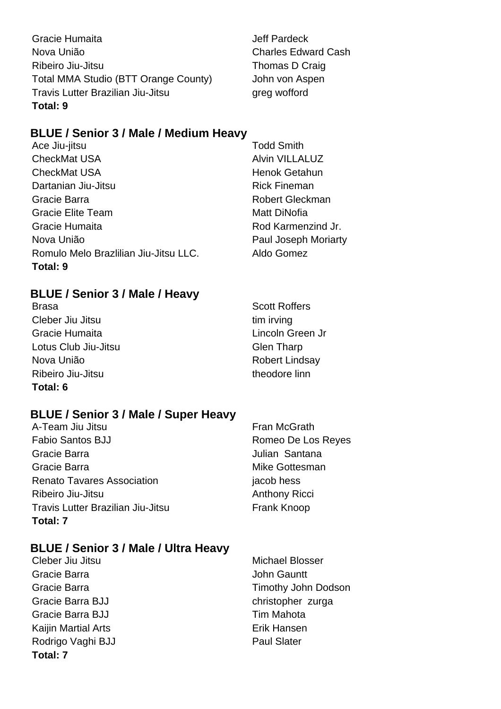Gracie Humaita **Gracie Humaita** Jeff Pardeck Nova União Charles Edward Cash Ribeiro Jiu-Jitsu **Thomas D** Craig Total MMA Studio (BTT Orange County) John von Aspen Travis Lutter Brazilian Jiu-Jitsu Greg work and the Unit of the Unit of the Unit of Travis Lutter Brazilian **Total: 9**

#### **BLUE / Senior 3 / Male / Medium Heavy**

Ace Jiu-jitsu **Todd Smith** CheckMat USA **Alvin VILLALUZ** CheckMat USA **Henok Getahun** Dartanian Jiu-Jitsu **Rick Fineman** Gracie Barra **Robert Gleckman** Gracie Elite Team Matt DiNofia Gracie Humaita **Rod Karmenzind Jr.** Rod Karmenzind Jr. Nova União **Paul Joseph Moriarty** Romulo Melo Brazlilian Jiu-Jitsu LLC. Aldo Gomez **Total: 9**

#### **BLUE / Senior 3 / Male / Heavy**

Brasa Scott Roffers Cleber Jiu Jitsu tim irving Gracie Humaita **Lincoln Green Jr** Lotus Club Jiu-Jitsu Clement Clement Clement Clement Clement Clement Clement Clement Clement Clement Clement C Nova União **Nova União** Robert Lindsay Ribeiro Jiu-Jitsu theodore linn **Total: 6**

#### **BLUE / Senior 3 / Male / Super Heavy**

A-Team Jiu Jitsu **Fran McGrath** Fabio Santos BJJ Romeo De Los Reyes Gracie Barra Julian Santana Gracie Barra **Mike Gottesman** Renato Tavares Association in the state of the season is also hess Ribeiro Jiu-Jitsu **Anthony Ricci Anthony Ricci Anthony Ricci** Travis Lutter Brazilian Jiu-Jitsu **Frank Knoop Total: 7**

#### **BLUE / Senior 3 / Male / Ultra Heavy**

- Gracie Barra **Gracia** Gracie Barra John Gauntt Gracie Barra BJJ christopher zurga Gracie Barra BJJ **Tim Mahota** Kaijin Martial Arts **Erik Hansen** Rodrigo Vaghi BJJ Paul Slater **Total: 7**
- Cleber Jiu Jitsu Michael Blosser Gracie Barra **Timothy John Dodson**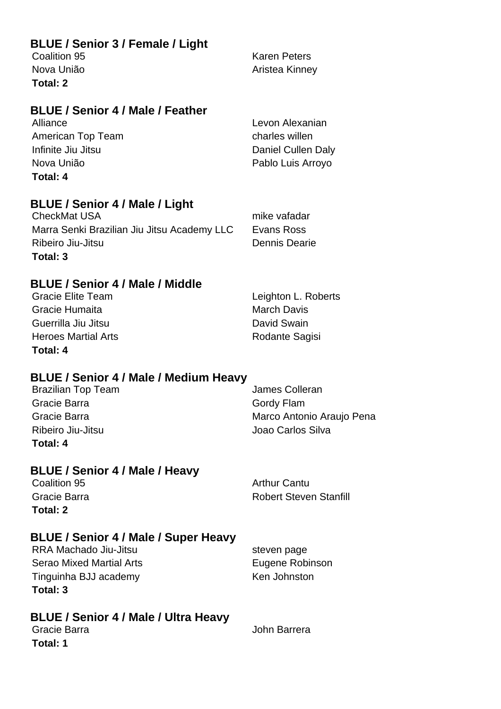#### **BLUE / Senior 3 / Female / Light**

**Total: 2**

Coalition 95 Karen Peters Nova União **Aristea Kinney** 

#### **BLUE / Senior 4 / Male / Feather**

American Top Team charles willen Infinite Jiu Jitsu **Daniel Cullen Daly** Nova União **Pablo Luis Arroyo Total: 4**

Alliance Levon Alexanian

#### **BLUE / Senior 4 / Male / Light**

CheckMat USA mike vafadar Marra Senki Brazilian Jiu Jitsu Academy LLC Evans Ross Ribeiro Jiu-Jitsu **Dennis Dearie Total: 3**

#### **BLUE / Senior 4 / Male / Middle**

Gracie Elite Team **Legal Contract Contract Contract Contract Contract Contract Contract Contract Contract Contract Contract Contract Contract Contract Contract Contract Contract Contract Contract Contract Contract Contract** Gracie Humaita **March Davis** March Davis Guerrilla Jiu Jitsu **David Swain** Heroes Martial Arts **Rodante Sagisi** Rodante Sagisi **Total: 4**

#### **BLUE / Senior 4 / Male / Medium Heavy**

| <b>Brazilian Top Team</b> | James Colleran            |
|---------------------------|---------------------------|
| Gracie Barra              | Gordy Flam                |
| Gracie Barra              | Marco Antonio Araujo Pena |
| Ribeiro Jiu-Jitsu         | Joao Carlos Silva         |
| Total: 4                  |                           |

#### **BLUE / Senior 4 / Male / Heavy**

**Total: 2**

Coalition 95 **Arthur Cantu** Gracie Barra **Robert Steven Stanfill** 

#### **BLUE / Senior 4 / Male / Super Heavy**

RRA Machado Jiu-Jitsu and a steven page Serao Mixed Martial Arts **Eugene Robinson** Tinguinha BJJ academy Ken Johnston **Total: 3**

**BLUE / Senior 4 / Male / Ultra Heavy**

Gracie Barra **Gracia** Service Barra John Barrera **Total: 1**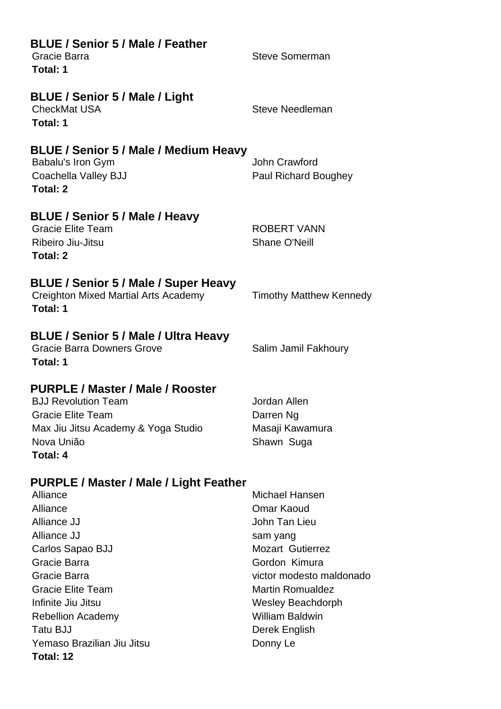| <b>BLUE / Senior 5 / Male / Feather</b><br>Gracie Barra<br>Total: 1                                                                                                                                                                                                                          | <b>Steve Somerman</b>                                                                                                                                                                                                                           |
|----------------------------------------------------------------------------------------------------------------------------------------------------------------------------------------------------------------------------------------------------------------------------------------------|-------------------------------------------------------------------------------------------------------------------------------------------------------------------------------------------------------------------------------------------------|
| <b>BLUE / Senior 5 / Male / Light</b><br><b>CheckMat USA</b><br>Total: 1                                                                                                                                                                                                                     | <b>Steve Needleman</b>                                                                                                                                                                                                                          |
| BLUE / Senior 5 / Male / Medium Heavy<br>Babalu's Iron Gym<br>Coachella Valley BJJ<br>Total: 2                                                                                                                                                                                               | <b>John Crawford</b><br><b>Paul Richard Boughey</b>                                                                                                                                                                                             |
| BLUE / Senior 5 / Male / Heavy<br><b>Gracie Elite Team</b><br>Ribeiro Jiu-Jitsu<br><b>Total: 2</b>                                                                                                                                                                                           | <b>ROBERT VANN</b><br><b>Shane O'Neill</b>                                                                                                                                                                                                      |
| BLUE / Senior 5 / Male / Super Heavy<br><b>Creighton Mixed Martial Arts Academy</b><br>Total: 1                                                                                                                                                                                              | <b>Timothy Matthew Kennedy</b>                                                                                                                                                                                                                  |
| BLUE / Senior 5 / Male / Ultra Heavy<br><b>Gracie Barra Downers Grove</b><br>Total: 1                                                                                                                                                                                                        | Salim Jamil Fakhoury                                                                                                                                                                                                                            |
| PURPLE / Master / Male / Rooster<br><b>BJJ Revolution Team</b><br><b>Gracie Elite Team</b><br>Max Jiu Jitsu Academy & Yoga Studio<br>Nova União<br>Total: 4                                                                                                                                  | Jordan Allen<br>Darren Ng<br>Masaji Kawamura<br>Shawn Suga                                                                                                                                                                                      |
| PURPLE / Master / Male / Light Feather<br>Alliance<br>Alliance<br>Alliance JJ<br>Alliance JJ<br>Carlos Sapao BJJ<br>Gracie Barra<br>Gracie Barra<br><b>Gracie Elite Team</b><br>Infinite Jiu Jitsu<br><b>Rebellion Academy</b><br><b>Tatu BJJ</b><br>Yemaso Brazilian Jiu Jitsu<br>Total: 12 | Michael Hansen<br>Omar Kaoud<br>John Tan Lieu<br>sam yang<br><b>Mozart Gutierrez</b><br>Gordon Kimura<br>victor modesto maldonado<br><b>Martin Romualdez</b><br><b>Wesley Beachdorph</b><br><b>William Baldwin</b><br>Derek English<br>Donny Le |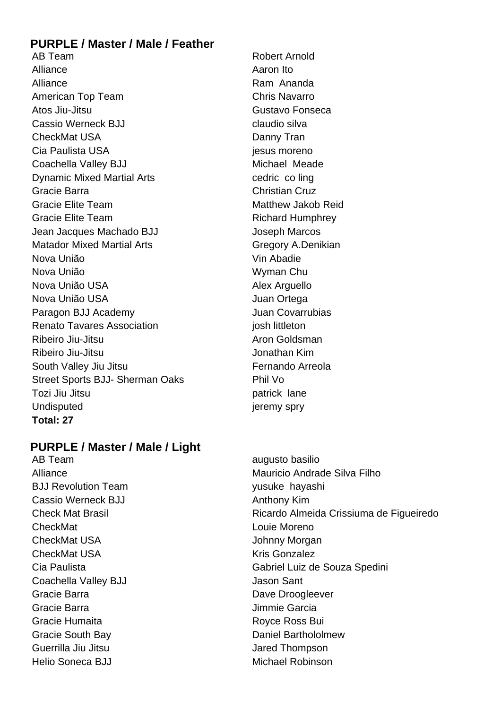#### **PURPLE / Master / Male / Feather**

AB Team **Robert Arnold** Alliance Aaron Ito Alliance **Ram Ananda** American Top Team Chris Navarro Atos Jiu-Jitsu **Gustavo Fonseca** Cassio Werneck BJJ claudio silva CheckMat USA Danny Tran Cia Paulista USA iesus moreno Coachella Valley BJJ Michael Meade Dynamic Mixed Martial Arts **cedric co ling** Gracie Barra Christian Cruz Gracie Elite Team **Matthew Jakob Reid** Matthew Jakob Reid Gracie Elite Team **Richard Humphrey** Jean Jacques Machado BJJ Joseph Marcos Matador Mixed Martial Arts **Gregory A.Denikian** Nova União **Vin Abadie** Nova União **Nova União** Wyman Chu Nova União USA **Alex Arguello** Nova União USA quan Ortega Paragon BJJ Academy **Juan Covarrubias** Renato Tavares Association in the second viosh littleton Ribeiro Jiu-Jitsu **Aron** Goldsman Ribeiro Jiu-Jitsu **Jonathan Kim** South Valley Jiu Jitsu **Fernando** Arreola Street Sports BJJ- Sherman Oaks Phil Vo Tozi Jiu Jitsu **patrick** lane Undisputed in the set of the sprying sprying is a set of the sprying sprying is a set of the sprying sprying spry **Total: 27**

#### **PURPLE / Master / Male / Light**

AB Team augusto basilio BJJ Revolution Team vusuke hayashi Cassio Werneck BJJ **Anthony Kim** Anthony Kim **CheckMat CheckMat Louie Moreno** CheckMat USA Johnny Morgan CheckMat USA Kris Gonzalez Coachella Valley BJJ Jason Sant Gracie Barra **Dave Droogleever** Gracie Barra **Jimmie Garcia** Gracie Humaita **Royce Ross Bui** Gracie South Bay **Daniel Barthololmew** Guerrilla Jiu Jitsu Jackson Jared Thompson Helio Soneca BJJ Michael Robinson

Alliance **Mauricio Andrade Silva Filho** Check Mat Brasil Ricardo Almeida Crissiuma de Figueiredo Cia Paulista Gabriel Luiz de Souza Spedini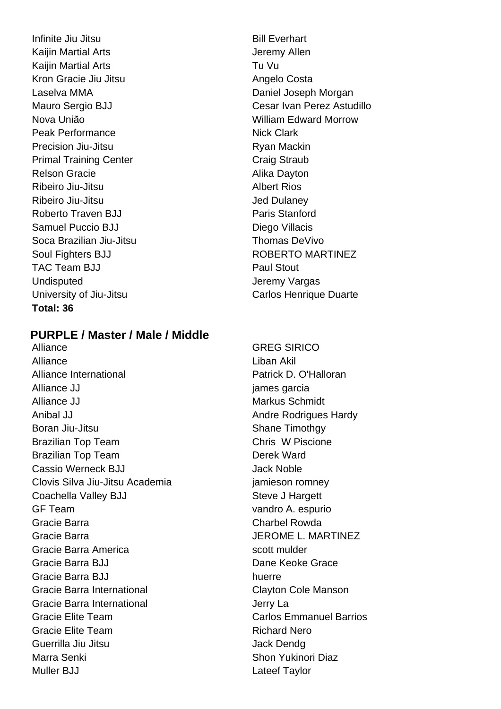Infinite Jiu Jitsu **Bill Everhart** Kaijin Martial Arts **Article Strutter Accord Accord Article Article Article Accord Article Article Article Article Article Article Article Article Article Article Article Article Article Article Article Article Article Art** Kaijin Martial Arts Tu Vu Kron Gracie Jiu Jitsu **Angelo Costa** Laselva MMA **Daniel Joseph Morgan** Nova União William Edward Morrow Peak Performance Nick Clark Precision Jiu-Jitsu **Ryan Mackin** Primal Training Center Craig Straub Relson Gracie **Alika Dayton** Ribeiro Jiu-Jitsu **Albert Rios** Ribeiro Jiu-Jitsu **Jed Dulaney** Roberto Traven BJJ **Paris Stanford** Samuel Puccio BJJ Diego Villacis Soca Brazilian Jiu-Jitsu **Thomas DeVivo** Soul Fighters BJJ **ROBERTO MARTINEZ** TAC Team B.I.I Paul Stout Undisputed **Jeremy Vargas** University of Jiu-Jitsu Carlos Henrique Duarte **Total: 36**

#### **PURPLE / Master / Male / Middle**

Alliance GREG SIRICO Alliance Liban Akil Alliance International **Patrick D. O'Halloran** Alliance JJ james garcia Alliance JJ Markus Schmidt Anibal JJ **Anibal JJ** Andre Rodrigues Hardy Boran Jiu-Jitsu **Shane Timothgy** Shane Timothgy Brazilian Top Team Chris W Piscione Brazilian Top Team **Derek Ward** Cassio Werneck BJJ **Jack Noble** Clovis Silva Jiu-Jitsu Academia jamieson romney Coachella Valley BJJ Steve J Hargett GF Team vandro A. espurio Gracie Barra Charbel Rowda Gracie Barra **Gracia Gracie Barra Community Contract Community** JEROME L. MARTINEZ Gracie Barra America scott mulder Gracie Barra BJJ Dane Keoke Grace Gracie Barra BJJ huerre Gracie Barra International **Clayton Cole Manson** Gracie Barra International **Gracie Barra** International Gracie Elite Team Carlos Emmanuel Barrios Gracie Elite Team Richard Nero Guerrilla Jiu Jitsu Jack Denda Marra Senki Shon Yukinori Diaz Muller BJJ **Nuller BJJ Lates Taylor** 

Mauro Sergio BJJ Cesar Ivan Perez Astudillo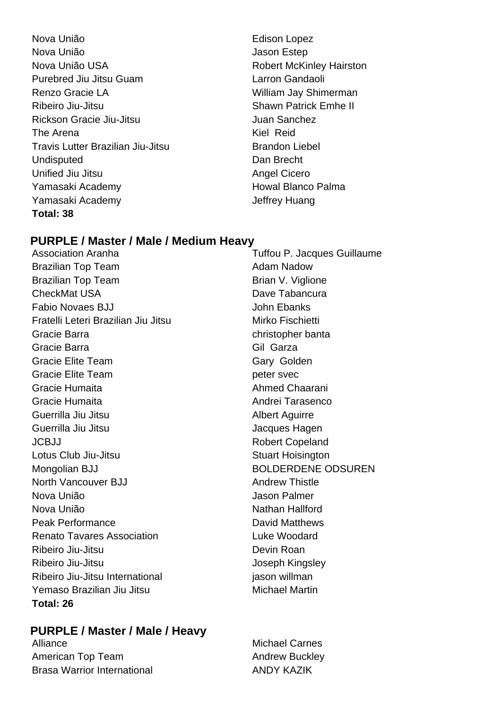- Nova União **Edison Lopez** Nova União Jason Estep Nova União USA Robert McKinley Hairston Purebred Jiu Jitsu Guam **Larron Gandaoli** Renzo Gracie LA **William Jay Shimerman** Ribeiro Jiu-Jitsu **Nicholas Albeiro Anticholas Shawn Patrick Emhe II** Rickson Gracie Jiu-Jitsu **Juan Sanchez** The Arena Kiel Reid Travis Lutter Brazilian Jiu-Jitsu Brandon Liebel Undisputed Dan Brecht Unified Jiu Jitsu **Angel Cicero** Angel Cicero Yamasaki Academy **Howal Blanco Palma** Yamasaki Academy Jeffrey Huang **Total: 38**
- 

#### **PURPLE / Master / Male / Medium Heavy**

Brazilian Top Team Adam Nadow Brazilian Top Team Brian V. Viglione **CheckMat USA** Dave Tabancura Fabio Novaes BJJ John Ebanks Fratelli Leteri Brazilian Jiu Jitsu **Mirko Fischietti** Gracie Barra **christopher banta** christopher banta Gracie Barra **Gil Garza** Gil Garza Gracie Elite Team Gracie Elite Team Gracie Elite Team peter svec Gracie Humaita **Ahmed Chaarani** Gracie Humaita **Andrei Tarasenco** Andrei Tarasenco Guerrilla Jiu Jitsu **Albert Aguirre** Albert Aguirre Guerrilla Jiu Jitsu Jacques Hagen JCBJJ Robert Copeland Lotus Club Jiu-Jitsu **Stuart Hoisington** Mongolian BJJ BOLDERDENE ODSUREN North Vancouver BJJ Andrew Thistle Nova União Jason Palmer Nova União Nathan Hallford Peak Performance **David Matthews** Renato Tavares Association **Luke Woodard** Ribeiro Jiu-Jitsu **Devin Roan** Ribeiro Jiu-Jitsu **Antica Acceptus International Accepto Accept** Joseph Kingsley Ribeiro Jiu-Jitsu International iason willman Yemaso Brazilian Jiu Jitsu Michael Martin **Total: 26**

Association Aranha **Tuffou P. Jacques Guillaume** 

#### **PURPLE / Master / Male / Heavy**

American Top Team Andrew Buckley Brasa Warrior International ANDY KAZIK

Alliance Michael Carnes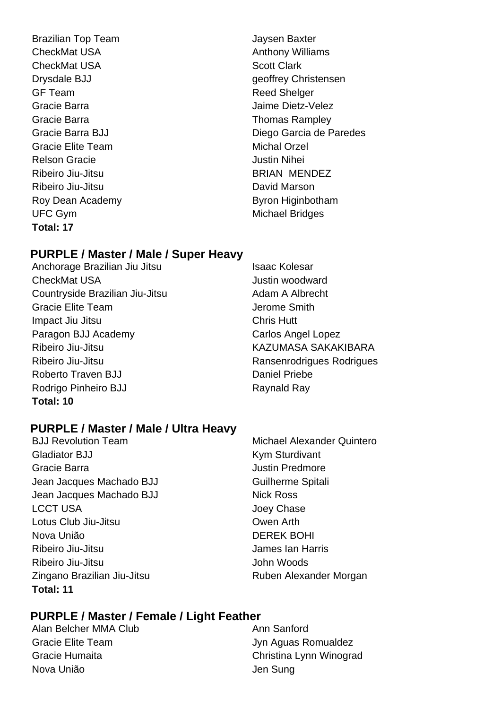Brazilian Top Team Jaysen Baxter CheckMat USA **Anthony Williams** CheckMat USA Scott Clark GF Team Reed Shelger Gracie Barra **Gracia** Contract Contract According Maime Dietz-Velez Gracie Barra **Thomas Rampley** Gracie Elite Team Michal Orzel Relson Gracie **All Accords** Creating Muslim Nihei Ribeiro Jiu-Jitsu BRIAN MENDEZ Ribeiro Jiu-Jitsu David Marson Roy Dean Academy **Byron Higinbotham** UFC Gym **Michael Bridges Total: 17**

Drysdale BJJ geoffrey Christensen Gracie Barra BJJ Diego Garcia de Paredes

#### **PURPLE / Master / Male / Super Heavy**

- Anchorage Brazilian Jiu Jitsu **Isaac Kolesar** CheckMat USA **CheckMat USA** Justin woodward Countryside Brazilian Jiu-Jitsu **Adam A Albrecht** Gracie Elite Team **Jerome Smith** Impact Jiu Jitsu Chris Hutt Paragon BJJ Academy Carlos Angel Lopez Ribeiro Jiu-Jitsu KAZUMASA SAKAKIBARA Ribeiro Jiu-Jitsu **Ransenrodrigues Rodrigues** Roberto Traven BJJ **Daniel Priebe** Rodrigo Pinheiro BJJ Raynald Raynald Raynald Raynald Raynald Raynald Raynald Raynald Raynald Raynald Raynald Ray **Total: 10**
- 

#### **PURPLE / Master / Male / Ultra Heavy**

Gladiator BJJ Kym Sturdivant Gracie Barra Justin Predmore Jean Jacques Machado BJJ Guilherme Spitali Jean Jacques Machado BJJ Nick Ross LCCT USA **Disk and COVID-19 COVID-19 COVID-19 COVID-19 COVID-19 COVID-19 COVID-19 COVID-19 COVID-19 COVID-19 COVID-19 COVID-19 COVID-19 COVID-19 COVID-19 COVID-19 COVID-19 COVID-19 COVID-19 COVID-19 COVID-19 COVID-19 COVID** Lotus Club Jiu-Jitsu Owen Arth Nova União DEREK BOHI Ribeiro Jiu-Jitsu James Ian Harris Ribeiro Jiu-Jitsu **John Woods** Zingano Brazilian Jiu-Jitsu **Ruben Alexander Morgan Total: 11**

BJJ Revolution Team Michael Alexander Quintero

#### **PURPLE / Master / Female / Light Feather**

Alan Belcher MMA Club Ann Sanford Gracie Elite Team **Gracie Elite Team** Jyn Aguas Romualdez Nova União **Nova União** de Antica e a Sunguista de Sunguista de Sunguista de Sunguista de Sunguista de Sunguista de Sunguista de Sunguista de Sunguista de Sunguista de Sunguista de Sunguista de Sunguista de Sunguista de Su

Gracie Humaita Christina Lynn Winograd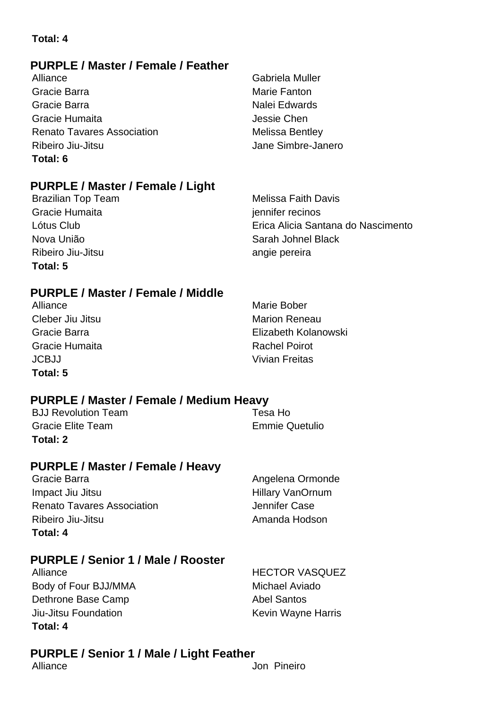#### **Total: 4**

#### **PURPLE / Master / Female / Feather**

Alliance **Gabriela Muller** Gracie Barra **Marie Fanton** Marie Fanton Gracie Barra **Nalei Edwards** Cracie Barra Nalei Edwards Gracie Humaita **Jessie Chen** Renato Tavares Association Melissa Bentley Ribeiro Jiu-Jitsu **Internationalista de la contrata de la contrata de la contrata de la contrata de la contrata de la contrata de la contrata de la contrata de la contrata de la contrata de la contrata de la contrata de la Total: 6**

#### **PURPLE / Master / Female / Light**

Brazilian Top Team Melissa Faith Davis Gracie Humaita in the settlement of the settlement of the settlement of the settlement of the settlement of the settlement of the settlement of the settlement of the settlement of the settlement of the settlement of the se Ribeiro Jiu-Jitsu angie pereira **Total: 5**

Lótus Club Erica Alicia Santana do Nascimento Nova União Sarah Johnel Black

#### **PURPLE / Master / Female / Middle**

Alliance Marie Bober Cleber Jiu Jitsu Marion Reneau Gracie Humaita **Rachel Poirot** Rachel Poirot JCBJJ Vivian Freitas **Total: 5**

Gracie Barra Elizabeth Kolanowski

#### **PURPLE / Master / Female / Medium Heavy**

BJJ Revolution Team Tesa Ho Gracie Elite Team **Emmie Quetulio Total: 2**

#### **PURPLE / Master / Female / Heavy**

Gracie Barra **Angelena Ormonde** Impact Jiu Jitsu **Hillary VanOrnum** Renato Tavares Association **Case** Jennifer Case Ribeiro Jiu-Jitsu **Amanda Hodson Total: 4**

#### **PURPLE / Senior 1 / Male / Rooster**

Alliance HECTOR VASQUEZ Body of Four BJJ/MMA Michael Aviado Dethrone Base Camp **Abel Santos** Abel Santos Jiu-Jitsu Foundation **Kevin Wayne Harris** Kevin Wayne Harris **Total: 4**

#### **PURPLE / Senior 1 / Male / Light Feather**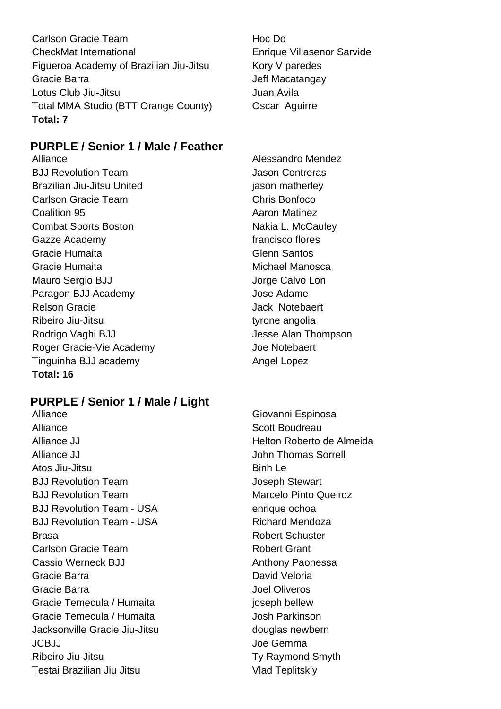Carlson Gracie Team **Hoc Do** CheckMat International Enrique Villasenor Sarvide Figueroa Academy of Brazilian Jiu-Jitsu Kory V paredes Gracie Barra **Gracia** Series and Texas and Jeff Macatangay Lotus Club Jiu-Jitsu Juan Avila Total MMA Studio (BTT Orange County) Oscar Aguirre **Total: 7**

#### **PURPLE / Senior 1 / Male / Feather**

BJJ Revolution Team Jason Contreras Brazilian Jiu-Jitsu United in the state of the season matherley Carlson Gracie Team Chris Bonfoco Coalition 95 **Aaron Matinez Aaron Matinez** Combat Sports Boston Nakia L. McCauley Gazze Academy **francisco** flores Gracie Humaita **Gracia** Glenn Santos Gracie Humaita Michael Manosca Mauro Sergio BJJ **Jorge Calvo Lon** Paragon BJJ Academy **Jose Adame** Relson Gracie **And Ack Structure Control** Dack Notebaert Ribeiro Jiu-Jitsu tyrone angolia Rodrigo Vaghi BJJ **Nagyida State Alan Thompson** Roger Gracie-Vie Academy **State Accident** Joe Notebaert Tinguinha BJJ academy **Angel Lopez** Angel Lopez **Total: 16**

#### **PURPLE / Senior 1 / Male / Light**

Alliance **Scott Boudreau** Alliance JJ Helton Roberto de Almeida Alliance JJ **Alliance JJ Alliance JJ John Thomas Sorrell** Atos Jiu-Jitsu and Die Binh Le BJJ Revolution Team and the Stewart Stewart BJJ Revolution Team Marcelo Pinto Queiroz BJJ Revolution Team - USA enrique ochoa BJJ Revolution Team - USA Richard Mendoza Brasa **Brasa** Robert Schuster Carlson Gracie Team **Robert Grant** Cassio Werneck BJJ **Anthony Paonessa** Gracie Barra **David Veloria** David Veloria Gracie Barra Joel Oliveros Gracie Temecula / Humaita international property in the line of property in the line of the line of the line o Gracie Temecula / Humaita **Gracie Temecula / Humaita** Josh Parkinson Jacksonville Gracie Jiu-Jitsu douglas newbern Joe Gemma Joe Gemma Joe Gemma Joe Gemma Joe Gemma Joe Gemma Joe Gemma Joe Gemma Joe Gemma Joe Gemma Joe Gemma Joe Gemma Joe Gemma Joe Gemma Joe Gemma Joe Gemma Joe Gemma Joe Gemma Joe Gemma Joe Gemma Joe Gemma Joe Gemma Jo Ribeiro Jiu-Jitsu **Ty Raymond Smyth** Testai Brazilian Jiu Jitsu Vlad Teplitskiy

Alliance Alessandro Mendez

Alliance Giovanni Espinosa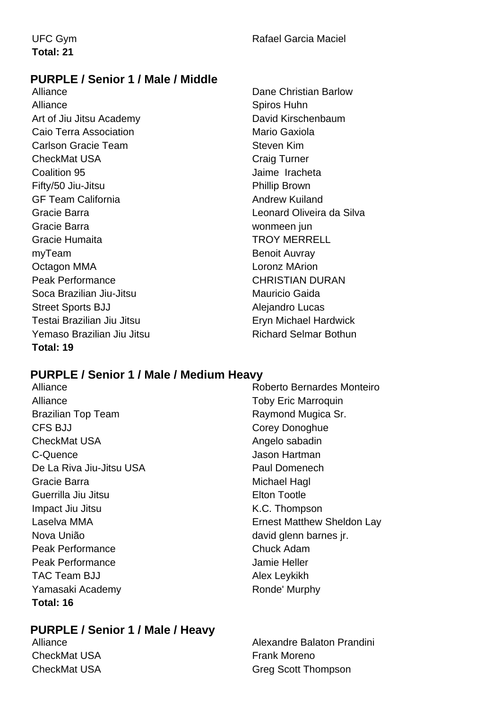#### **PURPLE / Senior 1 / Male / Middle**

Alliance Dane Christian Barlow Alliance Spiros Huhn Art of Jiu Jitsu Academy David Kirschenbaum Caio Terra Association **Mario Gaxiola** Mario Gaxiola Carlson Gracie Team Steven Kim CheckMat USA CheckMat USA CheckMat USA Coalition 95 Jaime Iracheta Fifty/50 Jiu-Jitsu Phillip Brown GF Team California **Andrew Kuiland** Gracie Barra Leonard Oliveira da Silva Gracie Barra **William Commet and Commet and Commet and Commet and Commet and Commet and Commet and Commet and Commet and Commet and Commet and Commet and Commet and Commet and Commet and Commet and Commet and Commet and Co** Gracie Humaita **TROY MERRELL** myTeam Benoit Auvray Octagon MMA Loronz MArion Peak Performance CHRISTIAN DURAN Soca Brazilian Jiu-Jitsu Mauricio Gaida Street Sports BJJ Alejandro Lucas Testai Brazilian Jiu Jitsu Eryn Michael Hardwick Yemaso Brazilian Jiu Jitsu **Richard Selmar Bothun Total: 19**

#### **PURPLE / Senior 1 / Male / Medium Heavy**

Alliance Toby Eric Marroquin Brazilian Top Team **Raymond Mugica Sr.** Raymond Mugica Sr. CFS BJJ Corey Donoghue CheckMat USA **Angelo** sabadin C-Quence Jason Hartman De La Riva Jiu-Jitsu USA **Paul Domenech** Gracie Barra **Michael Hagl** Michael Hagl Guerrilla Jiu Jitsu **Elton Tootle** Impact Jiu Jitsu **K.C. Thompson** Nova União david glenn barnes jr. Peak Performance **Chuck Adam** Peak Performance **Internal Contract Contract Contract Contract Contract Contract Contract Contract Contract Contract Contract Contract Contract Contract Contract Contract Contract Contract Contract Contract Contract Contra** TAC Team BJJ Alex Leykikh Yamasaki Academy **Ronde' Murphy** Ronde' Murphy **Total: 16**

#### **PURPLE / Senior 1 / Male / Heavy**

CheckMat USA **Frank Moreno** 

Alliance Roberto Bernardes Monteiro Laselva MMA Ernest Matthew Sheldon Lay

Alliance **Alliance** Alliance **Alliance** Alexandre Balaton Prandini CheckMat USA Greg Scott Thompson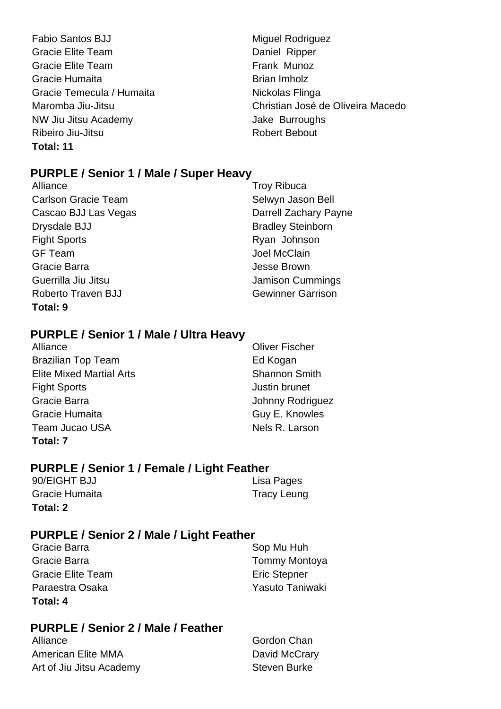- Fabio Santos BJJ Miguel Rodriguez Gracie Elite Team **Daniel Ripper** Daniel Ripper Gracie Elite Team **Frank Munoz** Gracie Humaita **Brian Imholz** Gracie Temecula / Humaita Nickolas Flinga NW Jiu Jitsu Academy **Jake Burroughs** Ribeiro Jiu-Jitsu **Ribeiro Alianza, alianza eta alianza eta aliarrata eta aliarrata eta aliarrata eta aliarrata Total: 11**
- Maromba Jiu-Jitsu Christian José de Oliveira Macedo

#### **PURPLE / Senior 1 / Male / Super Heavy**

Alliance Troy Ribuca Carlson Gracie Team Selwyn Jason Bell Cascao BJJ Las Vegas **Darrell Zachary Payne** Drysdale BJJ Bradley Steinborn Fight Sports **Ryan Johnson** GF Team Joel McClain Gracie Barra **Gracie Barra** Jesse Brown Guerrilla Jiu Jitsu Jamison Cummings Roberto Traven BJJ Gewinner Garrison **Total: 9**

#### **PURPLE / Senior 1 / Male / Ultra Heavy**

Alliance **Oliver Fischer** Brazilian Top Team **Ed Kogan Elite Mixed Martial Arts** Shannon Smith Fight Sports **Fight Sports Justin brunet** Gracie Barra Johnny Rodriguez Gracie Humaita **Guy E. Knowles** Team Jucao USA Nels R. Larson **Total: 7**

#### **PURPLE / Senior 1 / Female / Light Feather**

| Total: 2       |                    |
|----------------|--------------------|
| Gracie Humaita | <b>Tracy Leung</b> |
| 90/EIGHT BJJ   | Lisa Pages         |

#### **PURPLE / Senior 2 / Male / Light Feather**

Gracie Barra **Sop Mu Huh** Sop Mu Huh Gracie Barra **Tommy Montova** Gracie Elite Team **Execute Elite Team** Eric Stepner Paraestra Osaka Yasuto Taniwaki **Total: 4**

#### **PURPLE / Senior 2 / Male / Feather**

American Elite MMA David McCrary Art of Jiu Jitsu Academy Steven Burke

Alliance Gordon Chan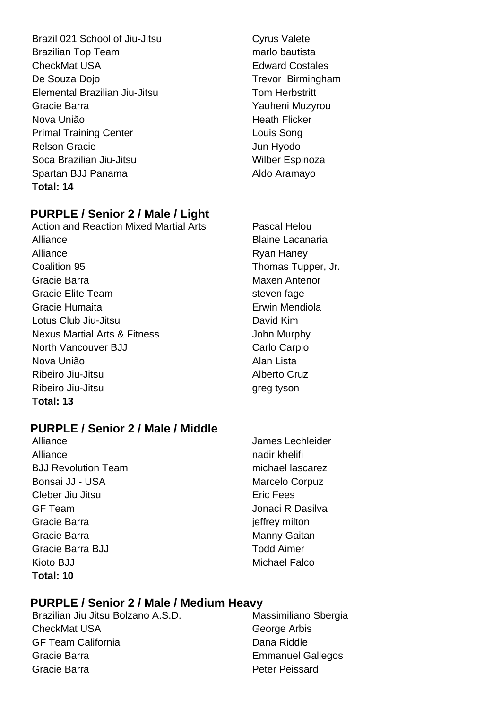Brazil 021 School of Jiu-Jitsu Cyrus Valete Brazilian Top Team marries and mario bautista CheckMat USA **Edward Costales** De Souza Dojo **Trevor Birmingham** Elemental Brazilian Jiu-Jitsu Tom Herbstritt Gracie Barra **Yauheni Muzyrou** Nova União **Heath Flicker** Primal Training Center **Louis Song** Relson Gracie **Van Hyperson** Jun Hyodo Soca Brazilian Jiu-Jitsu Wilber Espinoza Spartan BJJ Panama Aldo Aramayo **Total: 14**

#### **PURPLE / Senior 2 / Male / Light**

Action and Reaction Mixed Martial Arts Pascal Helou Alliance **Blaine Lacanaria** Alliance Ryan Haney **Coalition 95 Thomas Tupper, Jr.** Thomas Tupper, Jr. Gracie Barra Maxen Antenor Gracie Elite Team steven fage Gracie Humaita **Erwin Mendiola** Lotus Club Jiu-Jitsu David Kim Nexus Martial Arts & Fitness John Murphy North Vancouver BJJ Carlo Carpio Nova União **Alan Lista** Ribeiro Jiu-Jitsu **Alberto** Cruz Ribeiro Jiu-Jitsu qreg tyson **Total: 13**

#### **PURPLE / Senior 2 / Male / Middle**

Alliance nadir khelifi BJJ Revolution Team michael lascarez Bonsai JJ - USA Marcelo Corpuz Cleber Jiu Jitsu **Excess** Eric Fees GF Team Jonaci R Dasilva Gracie Barra in the state of the state of the state of the state of the state of the state of the state of the state of the state of the state of the state of the state of the state of the state of the state of the state o Gracie Barra **Manny Gaitan** Manny Gaitan Gracie Barra BJJ **Todd Aimer** Kioto BJJ Michael Falco **Total: 10**

Alliance **James Lechleider** 

#### **PURPLE / Senior 2 / Male / Medium Heavy**

CheckMat USA George Arbis GF Team California **Dana Riddle** Gracie Barra **Emmanuel Gallegos** Gracie Barra Peter Peissard

Brazilian Jiu Jitsu Bolzano A.S.D. Massimiliano Sbergia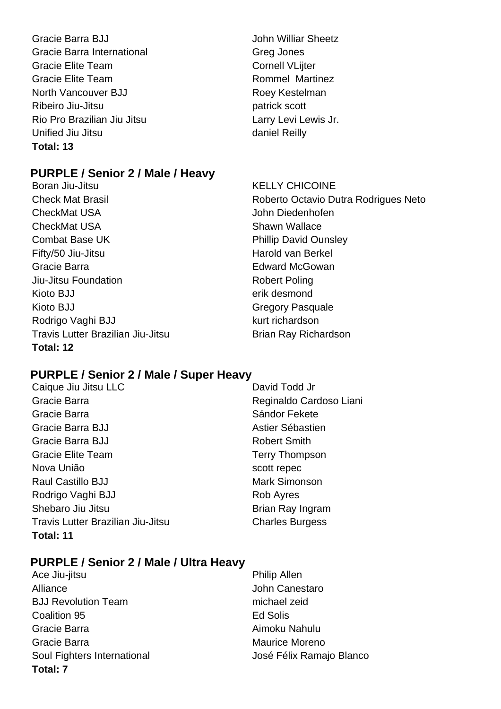Gracie Barra BJJ **John Williar Sheetz** Gracie Barra International Greg Jones Gracie Elite Team Cornell VLijter Gracie Elite Team **Rommel Martinez** North Vancouver BJJ Roey Kestelman Ribeiro Jiu-Jitsu **patrick scott** Rio Pro Brazilian Jiu Jitsu **Laccessity Larry Levi Lewis Jr.** Unified Jiu Jitsu **daniel Reilly Total: 13**

#### **PURPLE / Senior 2 / Male / Heavy**

- Boran Jiu-Jitsu **KELLY CHICOINE** CheckMat USA and the USA John Diedenhofen CheckMat USA Shawn Wallace **Combat Base UK Phillip David Ounsley** Fifty/50 Jiu-Jitsu **Harold van Berkel** Gracie Barra Edward McGowan Jiu-Jitsu Foundation **Robert Poling** Robert Poling Kioto BJJ erik desmond Kioto BJJ Gregory Pasquale Rodrigo Vaghi BJJ kurt richardson Travis Lutter Brazilian Jiu-Jitsu **Brian Ray Richardson Total: 12**
- 

Check Mat Brasil Roberto Octavio Dutra Rodrigues Neto

#### **PURPLE / Senior 2 / Male / Super Heavy**

- Caique Jiu Jitsu LLC David Todd Jr Gracie Barra **Reginaldo Cardoso Liani** Gracie Barra **Sándor Fekete** Gracie Barra BJJ **Astier Sébastien** Gracie Barra BJJ **Robert Smith** Gracie Elite Team Terry Thompson Nova União establecer contra un secondo escottive de secondo escottive de secondo escottive de secondo escotti Raul Castillo BJJ Mark Simonson Rodrigo Vaghi BJJ Rob Ayres Shebaro Jiu Jitsu **Brian Ray Ingram** Travis Lutter Brazilian Jiu-Jitsu Charles Burgess **Total: 11**
- 

#### **PURPLE / Senior 2 / Male / Ultra Heavy**

Ace Jiu-jitsu **Philip Allen** Alliance John Canestaro BJJ Revolution Team michael zeid Coalition 95 Ed Solis Gracie Barra **Aimoku Nahulu** Gracie Barra **Maurice Moreno** Soul Fighters International **Soul Fighters** International José Félix Ramajo Blanco **Total: 7**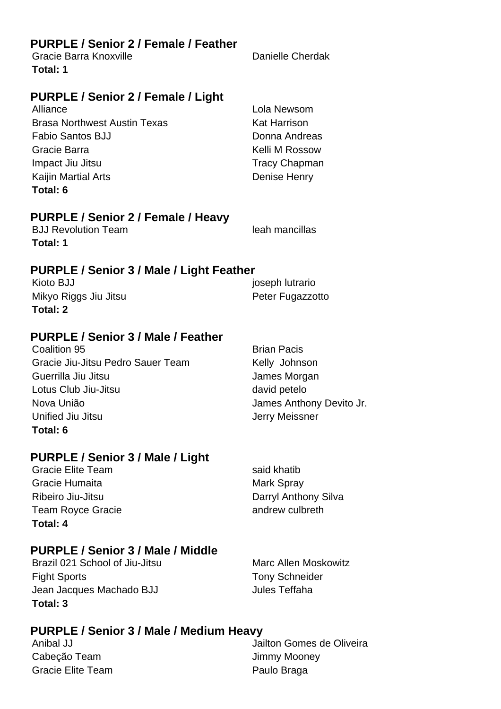#### **PURPLE / Senior 2 / Female / Feather**

Gracie Barra Knoxville **Danielle Cherdak Total: 1**

#### **PURPLE / Senior 2 / Female / Light**

Alliance Lola Newsom Brasa Northwest Austin Texas **Kat Harrison** Fabio Santos BJJ **Donna Andreas** Gracie Barra **Kelli M** Rossow Impact Jiu Jitsu **Impact Jiu Jitsu** Tracy Chapman Kaijin Martial Arts **Denise Henry Total: 6**

#### **PURPLE / Senior 2 / Female / Heavy**

**BJJ Revolution Team leah mancillas Total: 1**

#### **PURPLE / Senior 3 / Male / Light Feather**

| Kioto BJJ             | joseph lutrario  |
|-----------------------|------------------|
| Mikyo Riggs Jiu Jitsu | Peter Fugazzotto |
| Total: 2              |                  |

#### **PURPLE / Senior 3 / Male / Feather**

**Coalition 95** Brian Pacis Gracie Jiu-Jitsu Pedro Sauer Team Kelly Johnson Guerrilla Jiu Jitsu James Morgan Lotus Club Jiu-Jitsu david petelo Nova União **James Anthony Devito Jr.** James Anthony Devito Jr. Unified Jiu Jitsu **Jerry Meissner Total: 6**

#### **PURPLE / Senior 3 / Male / Light**

Gracie Elite Team said khatib Gracie Humaita **Mark Spray** Mark Spray Ribeiro Jiu-Jitsu **Darryl Anthony Silva** Team Royce Gracie **andrew culbreth Total: 4**

#### **PURPLE / Senior 3 / Male / Middle**

Brazil 021 School of Jiu-Jitsu Marc Allen Moskowitz Fight Sports Tony Schneider Jean Jacques Machado BJJ Jules Teffaha **Total: 3**

#### **PURPLE / Senior 3 / Male / Medium Heavy**

Cabeção Team  $\qquad \qquad$  Jimmy Mooney Gracie Elite Team **Paulo Braga** 

Anibal JJ Jailton Gomes de Oliveira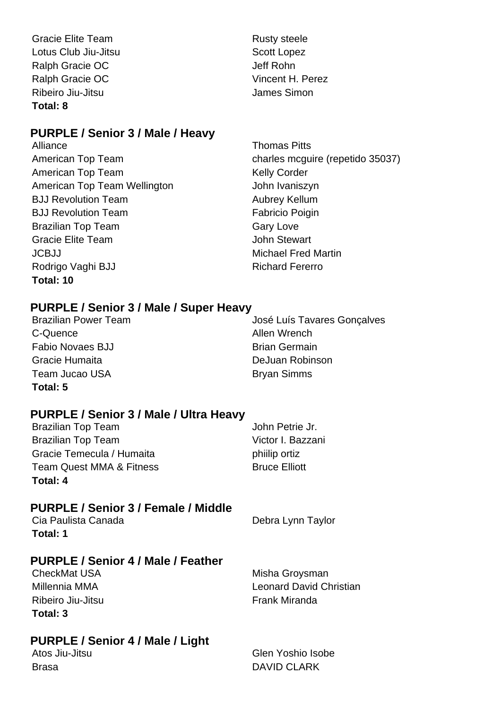Gracie Elite Team **Rusty** steele Lotus Club Jiu-Jitsu **Scott Lopez** Scott Lopez Ralph Gracie OC **Jeff Rohn** Ralph Gracie OC Vincent H. Perez Ribeiro Jiu-Jitsu **Internationalista de la contrata de la contrata de la contrata de la contrata de la contrata de la contrata de la contrata de la contrata de la contrata de la contrata de la contrata de la contrata de la Total: 8**

#### **PURPLE / Senior 3 / Male / Heavy**

Alliance **Thomas Pitts** American Top Team Nelly Corder American Top Team Wellington **Fig. 10** John Ivaniszyn **BJJ Revolution Team Aubrey Kellum** BJJ Revolution Team Fabricio Poigin Brazilian Top Team Gary Love Gracie Elite Team John Stewart JCBJJ Michael Fred Martin Rodrigo Vaghi BJJ Richard Fererro **Total: 10**

American Top Team charles mcguire (repetido 35037)

#### **PURPLE / Senior 3 / Male / Super Heavy**

C-Quence Allen Wrench Fabio Novaes BJJ Brian Germain Gracie Humaita **DeJuan Robinson** Team Jucao USA Bryan Simms **Total: 5**

Brazilian Power Team **International State Search Arizolates** José Luís Tavares Gonçalves

#### **PURPLE / Senior 3 / Male / Ultra Heavy**

| Total: 4                            |                      |
|-------------------------------------|----------------------|
| <b>Team Quest MMA &amp; Fitness</b> | <b>Bruce Elliott</b> |
| Gracie Temecula / Humaita           | philip ortiz         |
| <b>Brazilian Top Team</b>           | Victor I. Bazzani    |
| <b>Brazilian Top Team</b>           | John Petrie Jr.      |

#### **PURPLE / Senior 3 / Female / Middle**

Cia Paulista Canada **Debra Lynn Taylor Total: 1**

#### **PURPLE / Senior 4 / Male / Feather**

CheckMat USA Misha Groysman Millennia MMA Leonard David Christian Ribeiro Jiu-Jitsu **Frank Miranda Total: 3**

#### **PURPLE / Senior 4 / Male / Light**

Atos Jiu-Jitsu Glen Yoshio Isobe Brasa DAVID CLARK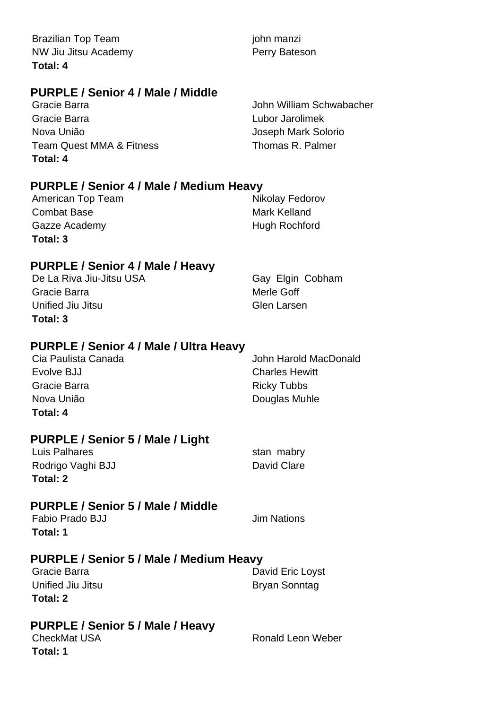Brazilian Top Team john manzi NW Jiu Jitsu Academy **Perry Bateson Total: 4**

#### **PURPLE / Senior 4 / Male / Middle**

Gracie Barra Lubor Jarolimek Nova União Joseph Mark Solorio Team Quest MMA & Fitness Thomas R. Palmer **Total: 4**

Gracie Barra John William Schwabacher

#### **PURPLE / Senior 4 / Male / Medium Heavy**

| American Top Team | Nikolay Fedorov      |
|-------------------|----------------------|
| Combat Base       | Mark Kelland         |
| Gazze Academy     | <b>Hugh Rochford</b> |
| Total: 3          |                      |

#### **PURPLE / Senior 4 / Male / Heavy**

De La Riva Jiu-Jitsu USA Gay Elgin Cobham Gracie Barra **Merle Goff** Unified Jiu Jitsu Glen Larsen **Total: 3**

#### **PURPLE / Senior 4 / Male / Ultra Heavy**

| Cia Paulista Canada | John Harold MacDonald |
|---------------------|-----------------------|
| Evolve BJJ          | <b>Charles Hewitt</b> |
| Gracie Barra        | <b>Ricky Tubbs</b>    |
| Nova União          | Douglas Muhle         |
| Total: 4            |                       |

#### **PURPLE / Senior 5 / Male / Light**

| Luis Palhares     | stan mabry  |
|-------------------|-------------|
| Rodrigo Vaghi BJJ | David Clare |
| Total: 2          |             |

#### **PURPLE / Senior 5 / Male / Middle**

Fabio Prado BJJ **Jim Nations Total: 1**

#### **PURPLE / Senior 5 / Male / Medium Heavy**

Gracie Barra **David Eric Loyst** David Eric Loyst Unified Jiu Jitsu **Bryan** Bryan Sonntag **Total: 2**

# **PURPLE / Senior 5 / Male / Heavy**

**Total: 1**

Ronald Leon Weber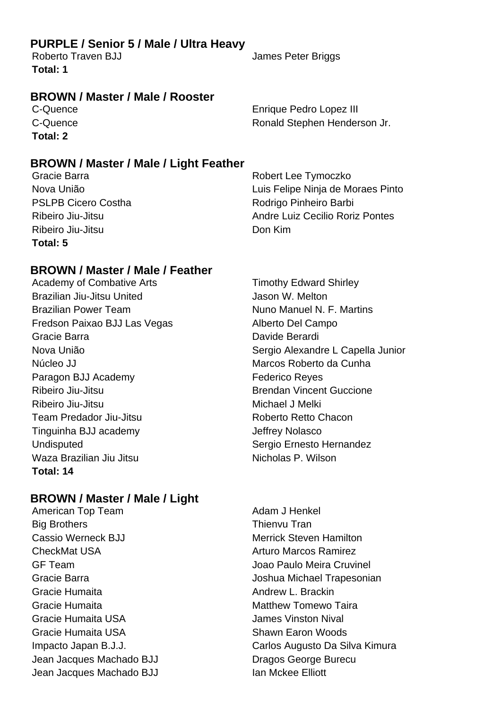#### **PURPLE / Senior 5 / Male / Ultra Heavy**

Roberto Traven BJJ James Peter Briggs **Total: 1**

#### **BROWN / Master / Male / Rooster**

**Total: 2**

**BROWN / Master / Male / Light Feather**

Ribeiro Jiu-Jitsu Don Kim **Total: 5**

**BROWN / Master / Male / Feather**

Brazilian Jiu-Jitsu United Jason W. Melton Brazilian Power Team Nuno Manuel N. F. Martins Fredson Paixao BJJ Las Vegas Alberto Del Campo Gracie Barra **Davide Berardi** Núcleo JJ Marcos Roberto da Cunha Paragon BJJ Academy **Federico** Reyes Ribeiro Jiu-Jitsu Brendan Vincent Guccione Ribeiro Jiu-Jitsu **Michael J** Melki Team Predador Jiu-Jitsu **Roberto Retto Chacon** Tinguinha BJJ academy Jeffrey Nolasco Undisputed Sergio Ernesto Hernandez Waza Brazilian Jiu Jitsu Nicholas P. Wilson **Total: 14**

#### **BROWN / Master / Male / Light**

Big Brothers Thienvu Tran Cassio Werneck BJJ Merrick Steven Hamilton CheckMat USA **Arturo Marcos Ramirez** GF Team Joao Paulo Meira Cruvinel Gracie Humaita **Andrew L. Brackin** Gracie Humaita **Matthew Tomewo Taira** Matthew Tomewo Taira Gracie Humaita USA James Vinston Nival Gracie Humaita USA **Shawn Earon Woods** Shawn Earon Woods Jean Jacques Machado BJJ Dragos George Burecu Jean Jacques Machado BJJ **Ian Mckee Elliott** 

C-Quence **Enrique Pedro Lopez III** C-Quence **C-Quence Ronald Stephen Henderson Jr.** 

Gracie Barra **Robert Lee Tymoczko** Nova União Luis Felipe Ninja de Moraes Pinto PSLPB Cicero Costha **Rodrigo Pinheiro Barbi** Ribeiro Jiu-Jitsu **Andre Luiz Cecilio Roriz Pontes** 

Academy of Combative Arts Timothy Edward Shirley Nova União **Nova União** e a constructiva e sergio Alexandre L Capella Junior

American Top Team Andam J Henkel Gracie Barra **Gracia** Controllering and the United States of Joshua Michael Trapesonian Impacto Japan B.J.J. Carlos Augusto Da Silva Kimura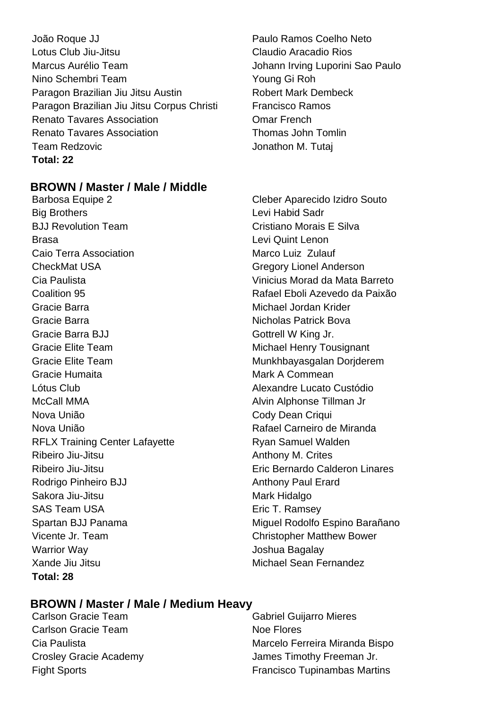João Roque JJ Paulo Ramos Coelho Neto Lotus Club Jiu-Jitsu Claudio Aracadio Rios Marcus Aurélio Team **International de Luporini Sao Paulo** Johann Irving Luporini Sao Paulo Nino Schembri Team Young Gi Roh Paragon Brazilian Jiu Jitsu Austin **Robert Mark Dembeck** Paragon Brazilian Jiu Jitsu Corpus Christi Francisco Ramos Renato Tavares Association **Comarch Comarch** Comar French Renato Tavares Association Thomas John Tomlin Team Redzovic **Contract Contract Contract Contract Contract Contract Contract Contract Contract Contract Contract Contract Contract Contract Contract Contract Contract Contract Contract Contract Contract Contract Contract Total: 22**

#### **BROWN / Master / Male / Middle**

Big Brothers **Levi Habid Sadr** BJJ Revolution Team **Cristiano Morais E** Silva Brasa Levi Quint Lenon Caio Terra Association **Marco Luiz Zulauf** CheckMat USA Gregory Lionel Anderson Cia Paulista Vinicius Morad da Mata Barreto Gracie Barra **Michael Jordan Krider** Michael Jordan Krider Gracie Barra **Nicholas Patrick Bova** Nicholas Patrick Bova Gracie Barra BJJ Gottrell W King Jr. Gracie Elite Team **Michael Henry Tousignant** Gracie Elite Team **Munkhbayasgalan Dorjderem** Gracie Humaita **Mark A Commean** Lótus Club Alexandre Lucato Custódio McCall MMA **Alvin Alphonse Tillman Jr** Alvin Alphonse Tillman Jr Nova União **Nova União** Cody Dean Criqui Nova União **Nova União** Rafael Carneiro de Miranda RFLX Training Center Lafayette **Ryan Samuel Walden** Ribeiro Jiu-Jitsu **Anthony M. Crites** Ribeiro Jiu-Jitsu Eric Bernardo Calderon Linares Rodrigo Pinheiro BJJ Anthony Paul Erard Sakora Jiu-Jitsu Mark Hidalgo SAS Team USA Eric T. Ramsey Vicente Jr. Team Christopher Matthew Bower Warrior Way Joshua Bagalay Xande Jiu Jitsu Michael Sean Fernandez **Total: 28**

Barbosa Equipe 2 Cleber Aparecido Izidro Souto Coalition 95 Rafael Eboli Azevedo da Paixão Spartan BJJ Panama Miguel Rodolfo Espino Barañano

#### **BROWN / Master / Male / Medium Heavy**

Carlson Gracie Team Noe Flores

Carlson Gracie Team Gabriel Guijarro Mieres Cia Paulista **Marcelo Ferreira Miranda Bispo** Crosley Gracie Academy James Timothy Freeman Jr. Fight Sports Francisco Tupinambas Martins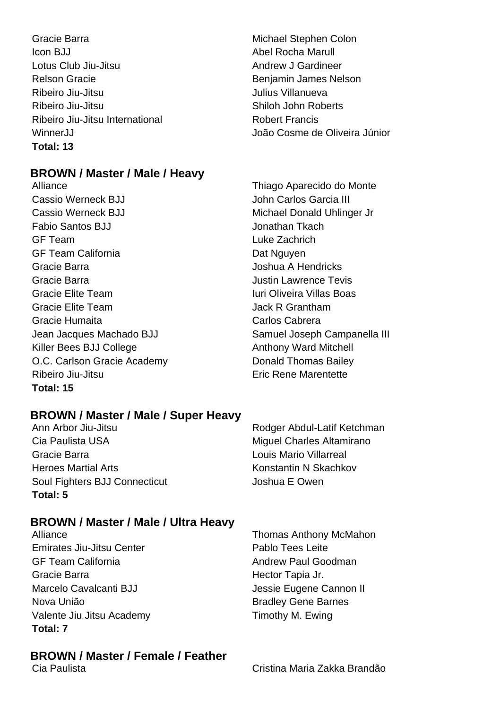Gracie Barra **Michael Stephen Colon** Icon BJJ Abel Rocha Marull Lotus Club Jiu-Jitsu **Andrew J Gardineer** Relson Gracie **Benjamin James Nelson** Ribeiro Jiu-Jitsu Julius Villanueva Ribeiro Jiu-Jitsu **Nicholas Shiloh John Roberts** Ribeiro Jiu-Jitsu International **Ribeiro II** Robert Francis **Total: 13**

#### **BROWN / Master / Male / Heavy**

Alliance Thiago Aparecido do Monte Cassio Werneck BJJ John Carlos Garcia III Cassio Werneck BJJ Michael Donald Uhlinger Jr Fabio Santos BJJ Jonathan Tkach GF Team Luke Zachrich GF Team California **Dat Nguyen** Dat Nguyen Gracie Barra **Gracia A Hendricks** Joshua A Hendricks Gracie Barra Justin Lawrence Tevis Gracie Elite Team **Iuri Oliveira Villas Boas** Gracie Elite Team **Jack R** Grantham Gracie Humaita Carlos Cabrera Jean Jacques Machado BJJ Samuel Joseph Campanella III Killer Bees BJJ College **Anthony Ward Mitchell** O.C. Carlson Gracie Academy Donald Thomas Bailey Ribeiro Jiu-Jitsu **Eric Rene Marentette Total: 15**

WinnerJJ João Cosme de Oliveira Júnior

#### **BROWN / Master / Male / Super Heavy**

Ann Arbor Jiu-Jitsu **Ann Arbor Jiu-Jitsu Rodger Abdul-Latif Ketchman** Cia Paulista USA **Miguel Charles Altamirano** Gracie Barra **Louis Mario Villarreal** Heroes Martial Arts Konstantin N Skachkov Soul Fighters BJJ Connecticut **Soul Example 3 Joshua E Owen Total: 5**

#### **BROWN / Master / Male / Ultra Heavy**

Emirates Jiu-Jitsu Center **Pablo Tees Leite** GF Team California **Andrew Paul Goodman** Gracie Barra **Hector Tapia Jr. Hector Tapia Jr.** Marcelo Cavalcanti BJJ **Marcelo Cavalcanti BJJ** Jessie Eugene Cannon II Nova União **Bradley Gene Barnes** Valente Jiu Jitsu Academy Timothy M. Ewing **Total: 7**

Alliance **Thomas Anthony McMahon** 

# **BROWN / Master / Female / Feather**

Cristina Maria Zakka Brandão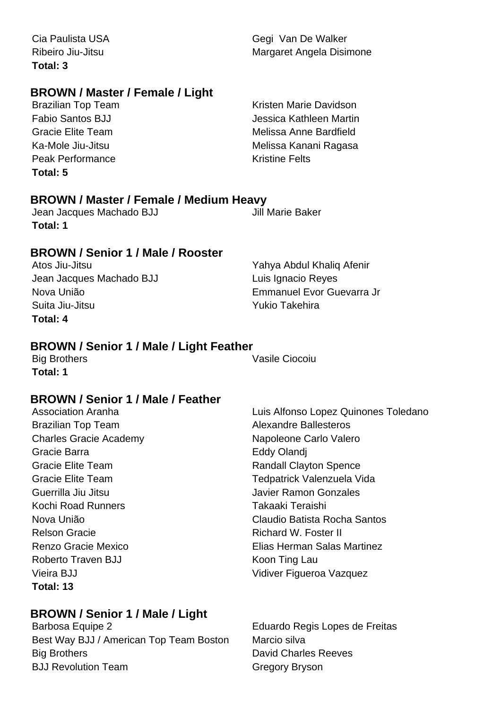**Total: 3**

#### **BROWN / Master / Female / Light**

**Peak Performance Community Community** Kristine Felts **Total: 5**

Brazilian Top Team **Kristen Marie Davidson** Fabio Santos BJJ Jessica Kathleen Martin Gracie Elite Team Melissa Anne Bardfield Ka-Mole Jiu-Jitsu Melissa Kanani Ragasa

#### **BROWN / Master / Female / Medium Heavy**

Jean Jacques Machado BJJ Jill Marie Baker **Total: 1**

#### **BROWN / Senior 1 / Male / Rooster**

Jean Jacques Machado BJJ Luis Ignacio Reyes Suita Jiu-Jitsu **Xukio Takehira Total: 4**

Atos Jiu-Jitsu Yahya Abdul Khaliq Afenir Nova União Emmanuel Evor Guevarra Jr

#### **BROWN / Senior 1 / Male / Light Feather**

**Total: 1**

Big Brothers Vasile Ciocoiu

#### **BROWN / Senior 1 / Male / Feather**

Brazilian Top Team Alexandre Ballesteros Charles Gracie Academy Napoleone Carlo Valero Gracie Barra **Eddy Olandi** Gracie Elite Team **Randall Clayton Spence** Guerrilla Jiu Jitsu Javier Ramon Gonzales Kochi Road Runners Takaaki Teraishi Relson Gracie **Richard W. Foster II** Roberto Traven BJJ Koon Ting Lau Vieira BJJ Vidiver Figueroa Vazquez **Total: 13**

#### **BROWN / Senior 1 / Male / Light**

Barbosa Equipe 2 Eduardo Regis Lopes de Freitas Best Way BJJ / American Top Team Boston Marcio silva Big Brothers **David Charles Reeves** BJJ Revolution Team Gregory Bryson

Association Aranha **Luis Alfonso Lopez Quinones Toledano** Gracie Elite Team Tedpatrick Valenzuela Vida Nova União Claudio Batista Rocha Santos Renzo Gracie Mexico Elias Herman Salas Martinez

Cia Paulista USA Gegi Van De Walker Ribeiro Jiu-Jitsu **Margaret Angela Disimone**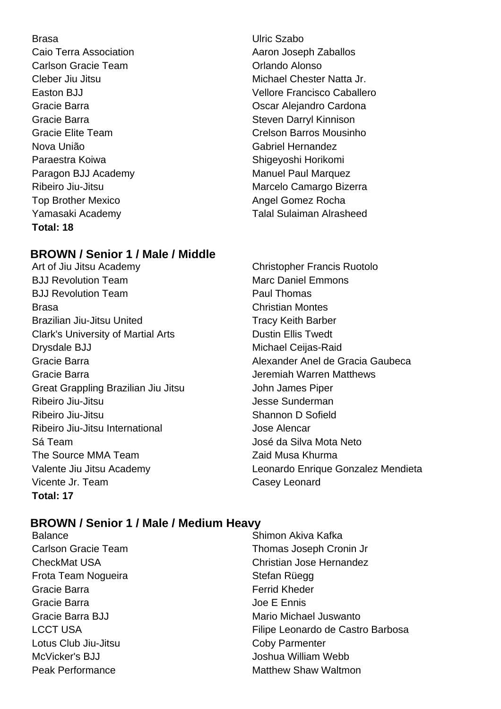Caio Terra Association **Access 10 Caio Terra Association** Aaron Joseph Zaballos Carlson Gracie Team **Carlson Critical** Criando Alonso Gracie Barra **Steven Darryl Kinnison** Steven Darryl Kinnison Nova União Gabriel Hernandez Paraestra Koiwa **Shigeyoshi Horikomi** Shigeyoshi Horikomi Paragon BJJ Academy Manuel Paul Marquez Top Brother Mexico Angel Gomez Rocha **Total: 18**

#### **BROWN / Senior 1 / Male / Middle**

- Art of Jiu Jitsu Academy Christopher Francis Ruotolo BJJ Revolution Team Marc Daniel Emmons BJJ Revolution Team **Paul Thomas** Brasa Christian Montes Brazilian Jiu-Jitsu United Tracy Keith Barber Clark's University of Martial Arts **Dustin Ellis Twedt** Drysdale BJJ Michael Ceijas-Raid Gracie Barra **Gracia Jeremiah Warren Matthews** Great Grappling Brazilian Jiu Jitsu **John James Piper** Ribeiro Jiu-Jitsu Jesse Sunderman Ribeiro Jiu-Jitsu **Nicholas Shannon D** Sofield Ribeiro Jiu-Jitsu International **International** Jose Alencar Sá Team José da Silva Mota Neto The Source MMA Team Zaid Musa Khurma Vicente Jr. Team Casey Leonard **Total: 17**
- Brasa Ulric Szabo Cleber Jiu Jitsu **Michael Chester Natta Jr.** Michael Chester Natta Jr. Easton BJJ Vellore Francisco Caballero Gracie Barra **Cardona Cardona Cardona Cardona Cardona** Gracie Elite Team Crelson Barros Mousinho Ribeiro Jiu-Jitsu **Marcelo Camargo Bizerra** Yamasaki Academy Talal Sulaiman Alrasheed

Gracie Barra **Alexander Anel de Gracia Gaubeca** Valente Jiu Jitsu Academy Leonardo Enrique Gonzalez Mendieta

#### **BROWN / Senior 1 / Male / Medium Heavy**

Balance **Shimon Akiva Kafka** Carlson Gracie Team Thomas Joseph Cronin Jr CheckMat USA Christian Jose Hernandez Frota Team Nogueira **Stefan Rüegg** Stefan Rüegg Gracie Barra **Ferrid Kheder Ferrid Kheder** Gracie Barra **Gracie Barra** Joe E Ennis Gracie Barra BJJ Mario Michael Juswanto LCCT USA Filipe Leonardo de Castro Barbosa Lotus Club Jiu-Jitsu Coby Parmenter McVicker's BJJ Joshua William Webb Peak Performance **Matthew Shaw Waltmon**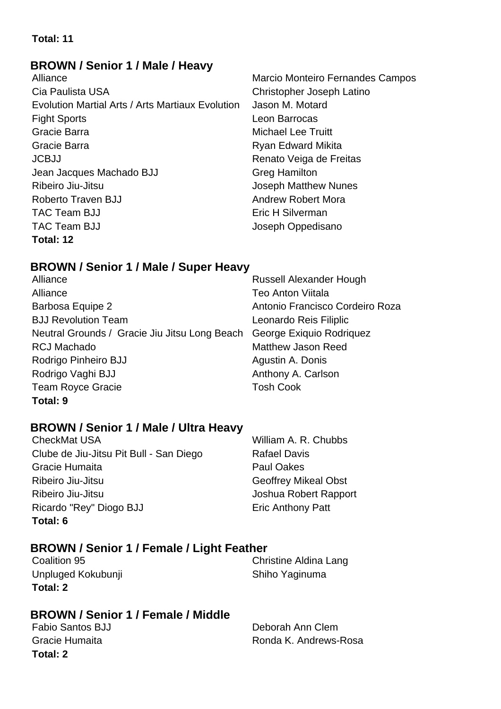#### **Total: 11**

#### **BROWN / Senior 1 / Male / Heavy**

Cia Paulista USA Christopher Joseph Latino Evolution Martial Arts / Arts Martiaux Evolution Jason M. Motard Fight Sports Leon Barrocas Gracie Barra **Michael Lee Truitt** Gracie Barra **Ryan Edward Mikita** JCBJJ Renato Veiga de Freitas Jean Jacques Machado BJJ Greg Hamilton Ribeiro Jiu-Jitsu **International European Acceptomatic Contract Contract Accept Matthew Nunes** Roberto Traven B.I.I Andrew Robert Mora TAC Team BJJ **EXECUTE:** Eric H Silverman TAC Team BJJ **Joseph Oppedisano Total: 12**

Alliance Marcio Monteiro Fernandes Campos

#### **BROWN / Senior 1 / Male / Super Heavy**

Alliance **Russell Alexander Hough** Alliance Teo Anton Viitala Barbosa Equipe 2 **Antonio Francisco Cordeiro Roza** BJJ Revolution Team Leonardo Reis Filiplic Neutral Grounds / Gracie Jiu Jitsu Long Beach George Exiquio Rodriquez RCJ Machado **Matthew Jason Reed** Rodrigo Pinheiro BJJ Agustin A. Donis Rodrigo Vaghi BJJ **Anthony A. Carlson** Team Royce Gracie Team Tosh Cook **Total: 9**

#### **BROWN / Senior 1 / Male / Ultra Heavy**

CheckMat USA William A. R. Chubbs Clube de Jiu-Jitsu Pit Bull - San Diego Rafael Davis Gracie Humaita **Paul Oakes** Ribeiro Jiu-Jitsu Geoffrey Mikeal Obst Ribeiro Jiu-Jitsu **Galimeiro III e a contra de la contra Contra Contra Contra Contra Contra Contra Contra Contra Contra Contra Contra Contra Contra Contra Contra Contra Contra Contra Contra Contra Contra Contra Contra Cont** Ricardo "Rey" Diogo BJJ Eric Anthony Patt **Total: 6**

#### **BROWN / Senior 1 / Female / Light Feather**

**Coalition 95** Coalition 95 Unpluged Kokubunji Shiho Yaginuma **Total: 2**

#### **BROWN / Senior 1 / Female / Middle**

| <b>Fabio Santos BJJ</b> | Deborah Ann Clem      |
|-------------------------|-----------------------|
| Gracie Humaita          | Ronda K. Andrews-Rosa |
| Total: 2                |                       |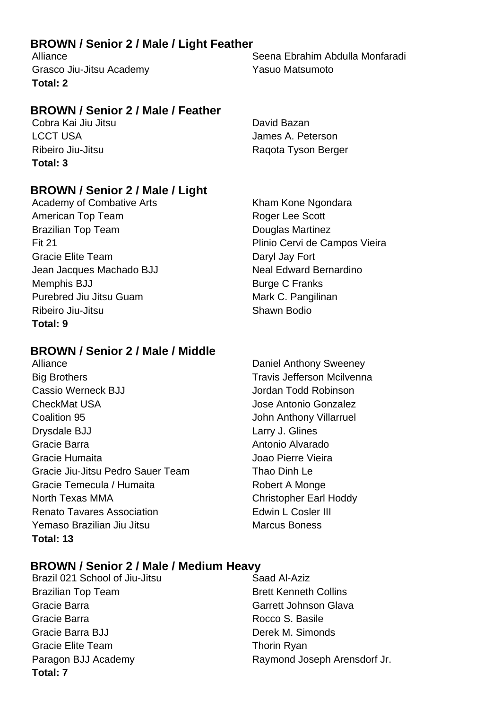#### **BROWN / Senior 2 / Male / Light Feather**

Grasco Jiu-Jitsu Academy **Yasuo Matsumoto Total: 2**

#### **BROWN / Senior 2 / Male / Feather**

Cobra Kai Jiu Jitsu **David Bazan** LCCT USA James A. Peterson **Total: 3**

#### **BROWN / Senior 2 / Male / Light**

Academy of Combative Arts Kham Kone Ngondara American Top Team **Roger Lee Scott** Brazilian Top Team **Douglas Martinez** Fit 21 Plinio Cervi de Campos Vieira Gracie Elite Team Daryl Jay Fort Jean Jacques Machado BJJ Neal Edward Bernardino Memphis BJJ Burge C Franks Purebred Jiu Jitsu Guam Mark C. Pangilinan Ribeiro Jiu-Jitsu Shawn Bodio **Total: 9**

#### **BROWN / Senior 2 / Male / Middle**

Big Brothers Travis Jefferson Mcilvenna Cassio Werneck BJJ Jordan Todd Robinson CheckMat USA Jose Antonio Gonzalez **Coalition 95 Coalition 95** John Anthony Villarruel Drysdale BJJ Larry J. Glines Gracie Barra **Antonio Alvarado** Gracie Humaita Joao Pierre Vieira Gracie Jiu-Jitsu Pedro Sauer Team Thao Dinh Le Gracie Temecula / Humaita Robert A Monge North Texas MMA Christopher Earl Hoddy Renato Tavares Association **Edwin L Cosler III** Yemaso Brazilian Jiu Jitsu Marcus Boness **Total: 13**

Alliance Seena Ebrahim Abdulla Monfaradi

Ribeiro Jiu-Jitsu **Ribeiro II** Raqota Tyson Berger

Alliance **Daniel Anthony Sweeney** 

#### **BROWN / Senior 2 / Male / Medium Heavy**

Brazil 021 School of Jiu-Jitsu Saad Al-Aziz Brazilian Top Team Brett Kenneth Collins Gracie Barra Garrett Johnson Glava Gracie Barra **Rocco S. Basile** Gracie Barra BJJ Derek M. Simonds Gracie Elite Team Thorin Ryan **Total: 7**

Paragon BJJ Academy Raymond Joseph Arensdorf Jr.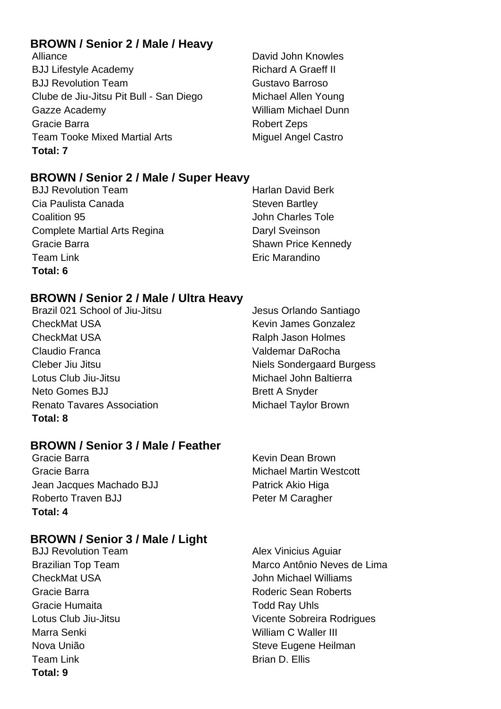#### **BROWN / Senior 2 / Male / Heavy**

Alliance **David John Knowles** BJJ Lifestyle Academy Richard A Graeff II BJJ Revolution Team Gustavo Barroso Clube de Jiu-Jitsu Pit Bull - San Diego Michael Allen Young Gazze Academy William Michael Dunn Gracie Barra **Robert Zeps** Robert Zeps Team Tooke Mixed Martial Arts **Miguel Angel Castro Total: 7**

#### **BROWN / Senior 2 / Male / Super Heavy**

BJJ Revolution Team **Harlan David Berk** Cia Paulista Canada **Steven Bartley** Steven Bartley **Coalition 95 Coalition 95** John Charles Tole Complete Martial Arts Regina **Daryl Sveinson** Gracie Barra **Shawn Price Kennedy** Shawn Price Kennedy Team Link **Example 2018** Eric Marandino **Total: 6**

#### **BROWN / Senior 2 / Male / Ultra Heavy**

Brazil 021 School of Jiu-Jitsu Jesus Orlando Santiago CheckMat USA **Keyin James Gonzalez** CheckMat USA **Ralph Jason Holmes** Ralph Jason Holmes Claudio Franca Valdemar DaRocha Cleber Jiu Jitsu Niels Sondergaard Burgess Lotus Club Jiu-Jitsu Michael John Baltierra Neto Gomes BJJ Brett A Snyder Renato Tavares Association Michael Taylor Brown **Total: 8**

#### **BROWN / Senior 3 / Male / Feather**

Gracie Barra **Kevin Dean Brown** Gracie Barra **Michael Martin Westcott Gracie** Barra Michael Martin Westcott Jean Jacques Machado BJJ Patrick Akio Higa Roberto Traven BJJ Peter M Caragher **Total: 4**

#### **BROWN / Senior 3 / Male / Light**

Gracie Humaita **Todd Ray Uhls** Marra Senki William C Waller III Team Link Brian D. Ellis **Total: 9**

BJJ Revolution Team Alex Vinicius Aguiar Brazilian Top Team Marco Antônio Neves de Lima CheckMat USA John Michael Williams Gracie Barra **Roberts Roderic Sean Roberts** Lotus Club Jiu-Jitsu **Vicente Sobreira Rodrigues** Nova União **Nova Eugene Heilman**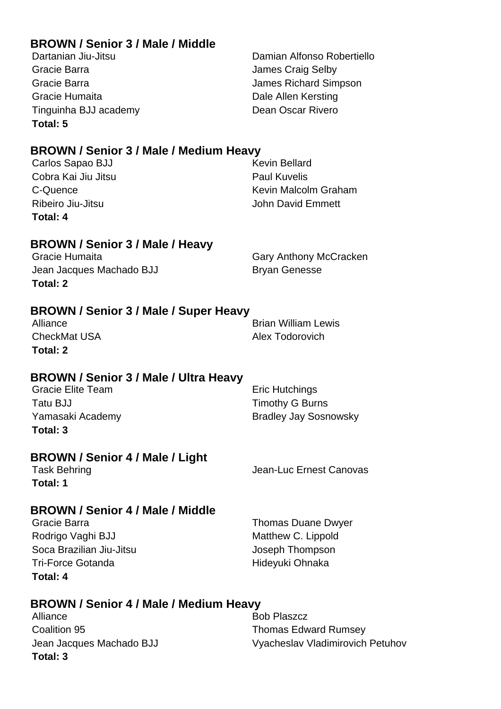#### **BROWN / Senior 3 / Male / Middle**

Gracie Barra **Gracia** Selby **Gracia** Selby **James Craig Selby** Gracie Barra James Richard Simpson Gracie Humaita **Dale Allen Kersting** Tinguinha BJJ academy Dean Oscar Rivero **Total: 5**

Dartanian Jiu-Jitsu Damian Alfonso Robertiello

#### **BROWN / Senior 3 / Male / Medium Heavy**

| Total: 4            |                      |
|---------------------|----------------------|
| Ribeiro Jiu-Jitsu   | John David Emmett    |
| C-Quence            | Kevin Malcolm Graham |
| Cobra Kai Jiu Jitsu | <b>Paul Kuvelis</b>  |
| Carlos Sapao BJJ    | <b>Kevin Bellard</b> |

#### **BROWN / Senior 3 / Male / Heavy**

Gracie Humaita **Gary Anthony McCracken** Jean Jacques Machado BJJ Bryan Genesse **Total: 2**

#### **BROWN / Senior 3 / Male / Super Heavy**

CheckMat USA **Alex Todorovich Total: 2**

Alliance **Brian William Lewis** 

#### **BROWN / Senior 3 / Male / Ultra Heavy**

| <b>Gracie Elite Team</b> | Eric Hutchings               |
|--------------------------|------------------------------|
| Tatu BJJ                 | <b>Timothy G Burns</b>       |
| Yamasaki Academy         | <b>Bradley Jay Sosnowsky</b> |
| Total: 3                 |                              |

#### **BROWN / Senior 4 / Male / Light**

**Total: 1**

Task Behring Task Behring Task Behring Task Behring Jean-Luc Ernest Canovas

#### **BROWN / Senior 4 / Male / Middle**

Gracie Barra **Thomas Duane Dwyer** Cracie Barra Rodrigo Vaghi BJJ Matthew C. Lippold Soca Brazilian Jiu-Jitsu Joseph Thompson Tri-Force Gotanda **Hideyuki Ohnaka Total: 4**

#### **BROWN / Senior 4 / Male / Medium Heavy**

Alliance Bob Plaszcz **Coalition 95 Coalition 95** Thomas Edward Rumsey **Total: 3**

Jean Jacques Machado BJJ Vyacheslav Vladimirovich Petuhov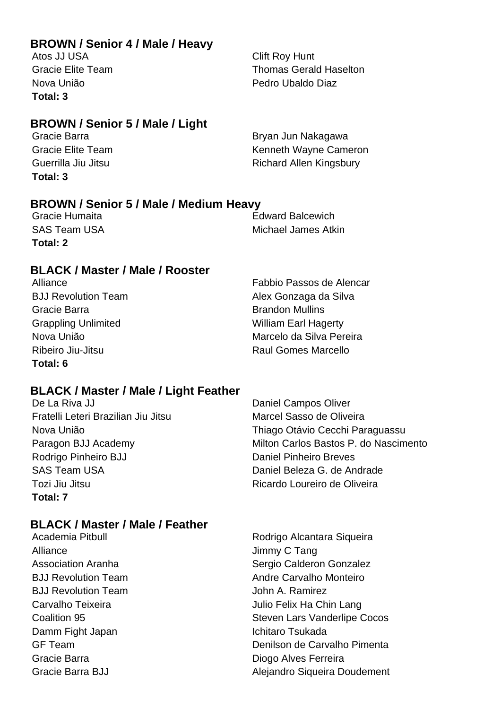#### **BROWN / Senior 4 / Male / Heavy**

Atos JJ USA Clift Roy Hunt **Total: 3**

Gracie Elite Team Thomas Gerald Haselton Nova União Pedro Ubaldo Diaz

#### **BROWN / Senior 5 / Male / Light**

**Total: 3**

Gracie Barra **Britannia Britannia a Britannia Bryan Jun Nakagawa** Gracie Elite Team **Kenneth Wayne Cameron** Guerrilla Jiu Jitsu **Carlo Communist Controller Allen Kingsbury** 

# **BROWN / Senior 5 / Male / Medium Heavy**

**Total: 2**

**Edward Balcewich** SAS Team USA Michael James Atkin

#### **BLACK / Master / Male / Rooster**

Gracie Barra **Brandon Mullins** Brandon Mullins Grappling Unlimited William Earl Hagerty **Total: 6**

Alliance Fabbio Passos de Alencar BJJ Revolution Team Alex Gonzaga da Silva Nova União **Marcelo da Silva Pereira** Ribeiro Jiu-Jitsu **Raul Gomes Marcello** 

#### **BLACK / Master / Male / Light Feather**

De La Riva JJ Daniel Campos Oliver Fratelli Leteri Brazilian Jiu Jitsu Marcel Sasso de Oliveira Nova União Thiago Otávio Cecchi Paraguassu Paragon BJJ Academy Milton Carlos Bastos P. do Nascimento Rodrigo Pinheiro BJJ Daniel Pinheiro Breves SAS Team USA Daniel Beleza G. de Andrade Tozi Jiu Jitsu Ricardo Loureiro de Oliveira **Total: 7**

#### **BLACK / Master / Male / Feather**

Alliance Jimmy C Tang BJJ Revolution Team and the state of the John A. Ramirez Damm Fight Japan **International Institute Communist Communist Communist Communist Communist Communist Communist Communist Communist Communist Communist Communist Communist Communist Communist Communist Communist Communist** Gracie Barra **Diogo Alves Ferreira** 

Academia Pitbull **Academia Pitbull** Rodrigo Alcantara Siqueira Association Aranha **National Sergio Calderon Gonzalez** B.I.I Revolution Team Andre Carvalho Monteiro Carvalho Teixeira **Vallee Carvalho Teixeira** Julio Felix Ha Chin Lang Coalition 95 Steven Lars Vanderlipe Cocos GF Team Denilson de Carvalho Pimenta Gracie Barra BJJ **Alejandro Siqueira Doudement**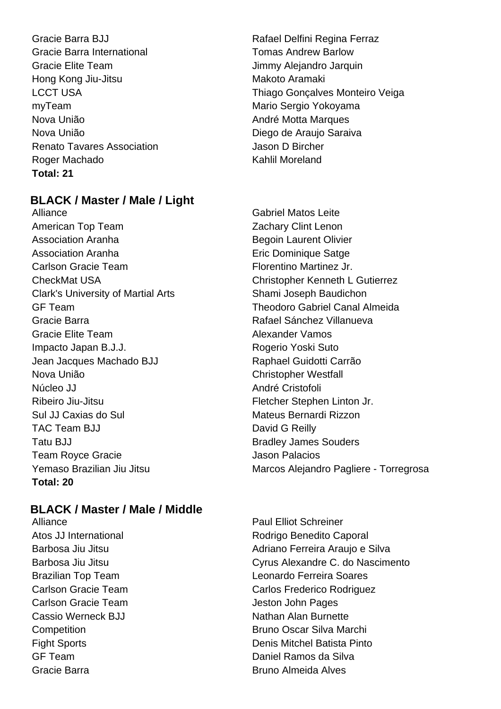Gracie Barra International Tomas Andrew Barlow Gracie Elite Team **Gracie Elite Team** Jimmy Alejandro Jarquin Hong Kong Jiu-Jitsu Makoto Aramaki myTeam Mario Sergio Yokoyama Nova União **André Motta Marques** Nova União **Nova União** Diego de Araujo Saraiva Renato Tavares Association **Factal Accord Property** Jason D Bircher Roger Machado **Kahlil Moreland Total: 21**

# Gracie Barra BJJ **Rafael Delfini Regina Ferraz** LCCT USA Thiago Gonçalves Monteiro Veiga

#### **BLACK / Master / Male / Light**

Alliance Gabriel Matos Leite American Top Team **Zachary Clint Lenon** Association Aranha **Begoin Laurent Olivier** Association Aranha **Executer 1** Eric Dominique Satge Carlson Gracie Team **Figure 2018** Florentino Martinez Jr. CheckMat USA Christopher Kenneth L Gutierrez Clark's University of Martial Arts **Shami Joseph Baudichon** GF Team Theodoro Gabriel Canal Almeida Gracie Barra Rafael Sánchez Villanueva Gracie Elite Team **Alexander Vamos** Impacto Japan B.J.J. Rogerio Yoski Suto Jean Jacques Machado BJJ Raphael Guidotti Carrão Nova União Christopher Westfall Núcleo JJ **André Cristofoli** Ribeiro Jiu-Jitsu **Fletcher Stephen Linton Jr.** Sul JJ Caxias do Sul Mateus Bernardi Rizzon TAC Team BJJ David G Reilly Tatu BJJ Bradley James Souders Team Royce Gracie **Access 12 Contract 12 Contract 12 Contract 12 Contract 12 Contract 12 Contract 12 Contract 12 Contract 12 Contract 12 Contract 12 Contract 12 Contract 12 Contract 12 Contract 12 Contract 12 Contract 12 C Total: 20**

#### **BLACK / Master / Male / Middle**

Carlson Gracie Team Jeston John Pages Cassio Werneck BJJ Nathan Alan Burnette Gracie Barra Bruno Almeida Alves

Yemaso Brazilian Jiu Jitsu Marcos Alejandro Pagliere - Torregrosa

Alliance **Paul Elliot Schreiner** Atos JJ International **Rodrigo Benedito Caporal** Barbosa Jiu Jitsu **Adriano Ferreira Araujo e Silva** Barbosa Jiu Jitsu **Cyrus Alexandre C. do Nascimento** Brazilian Top Team Leonardo Ferreira Soares Carlson Gracie Team Carlos Frederico Rodriguez **Competition Bruno Oscar Silva Marchi** Fight Sports Denis Mitchel Batista Pinto GF Team Daniel Ramos da Silva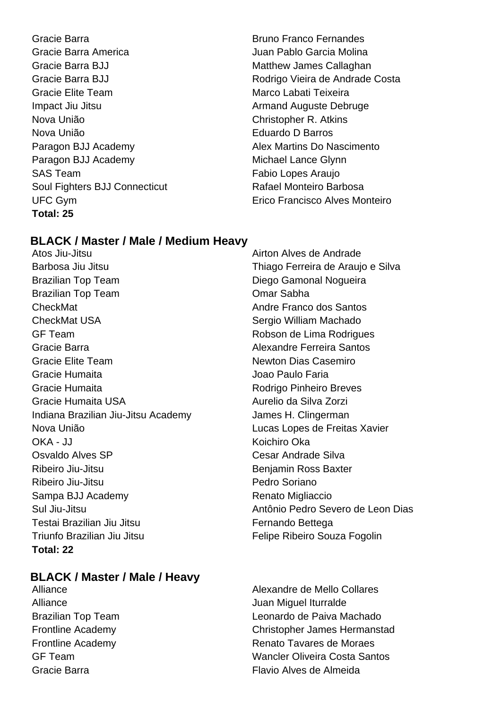Gracie Barra **Bruno Franco Fernandes Bruno Franco Fernandes** Gracie Barra America Juan Pablo Garcia Molina Gracie Barra BJJ **Matthew James Callaghan** Gracie Elite Team **Marco Labati Teixeira** Impact Jiu Jitsu **Armand Auguste Debruge** Nova União Christopher R. Atkins Nova União Eduardo D Barros Paragon BJJ Academy Michael Lance Glynn SAS Team **Fabio Lopes Araujo** Soul Fighters BJJ Connecticut Rafael Monteiro Barbosa **Total: 25**

Gracie Barra BJJ **Rodrigo Vieira de Andrade Costa** Paragon BJJ Academy **Alex Martins Do Nascimento** UFC Gym Erico Francisco Alves Monteiro

#### **BLACK / Master / Male / Medium Heavy**

Atos Jiu-Jitsu Airton Alves de Andrade Barbosa Jiu Jitsu **Thiago Ferreira de Araujo e Silva** Brazilian Top Team **Diego Gamonal Nogueira** Brazilian Top Team **Cambran Comar Sabha** CheckMat Andre Franco dos Santos CheckMat USA **Sergio William Machado** Sergio William Machado GF Team **GE Team** Robson de Lima Rodrigues Gracie Barra Alexandre Ferreira Santos Gracie Elite Team Newton Dias Casemiro Gracie Humaita **Gracia Accessoria de Cracia** Joao Paulo Faria Gracie Humaita **Rodrigo Pinheiro Breves** Gracie Humaita USA Aurelio da Silva Zorzi Indiana Brazilian Jiu-Jitsu Academy James H. Clingerman Nova União Lucas Lopes de Freitas Xavier OKA - JJ Koichiro Oka Osvaldo Alves SP Cesar Andrade Silva Ribeiro Jiu-Jitsu **Benjamin Ross Baxter** Ribeiro Jiu-Jitsu **Pedro Soriano** Sampa BJJ Academy **Renato Migliaccio** Renato Migliaccio Sul Jiu-Jitsu Antônio Pedro Severo de Leon Dias Testai Brazilian Jiu Jitsu **Fernando Bettega** Triunfo Brazilian Jiu Jitsu **Felipe Ribeiro Souza Fogolin Total: 22**

### **BLACK / Master / Male / Heavy**

Alliance Juan Miguel Iturralde

Alliance Alexandre de Mello Collares Brazilian Top Team **Leonardo de Paiva Machado** Frontline Academy Christopher James Hermanstad Frontline Academy **Renato Tavares de Moraes** GF Team Wancler Oliveira Costa Santos Gracie Barra Flavio Alves de Almeida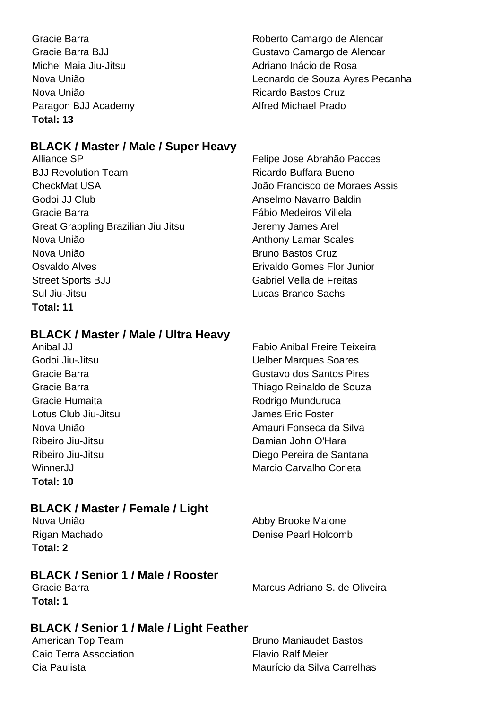Gracie Barra **Roberto Camargo de Alencar** Gracie Barra BJJ Gustavo Camargo de Alencar Michel Maia Jiu-Jitsu **Adriano Inácio de Rosa** Nova União Leonardo de Souza Ayres Pecanha Nova União **Nova União** Ricardo Bastos Cruz Paragon BJJ Academy **Alfred Michael Prado Total: 13**

#### **BLACK / Master / Male / Super Heavy**

BJJ Revolution Team **Ricardo Buffara Bueno** CheckMat USA João Francisco de Moraes Assis Godoi JJ Club Anselmo Navarro Baldin Gracie Barra Fábio Medeiros Villela Great Grappling Brazilian Jiu Jitsu **Jeremy James Arel** Nova União **Anthony Lamar Scales** Nova União **Bruno Bastos Cruz** Osvaldo Alves Erivaldo Gomes Flor Junior Street Sports BJJ Gabriel Vella de Freitas Sul Jiu-Jitsu Lucas Branco Sachs **Total: 11**

#### **BLACK / Master / Male / Ultra Heavy**

Lotus Club Jiu-Jitsu **James Eric Foster Total: 10**

#### **BLACK / Master / Female / Light**

Nova União **Abby Brooke Malone** Rigan Machado Denise Pearl Holcomb **Total: 2**

#### **BLACK / Senior 1 / Male / Rooster**

**Total: 1**

Gracie Barra **Marcus Adriano S. de Oliveira** 

#### **BLACK / Senior 1 / Male / Light Feather**

Caio Terra Association **Flavio Ralf Meier** 

American Top Team Bruno Maniaudet Bastos Cia Paulista Maurício da Silva Carrelhas

Alliance SP Felipe Jose Abrahão Pacces

Anibal JJ Fabio Anibal Freire Teixeira Godoi Jiu-Jitsu **Company Company Company Company Company Company Company Company Company Company Company Company** Gracie Barra Gustavo dos Santos Pires Gracie Barra Thiago Reinaldo de Souza Gracie Humaita **Rodrigo Munduruca** Rodrigo Munduruca Nova União Amauri Fonseca da Silva Ribeiro Jiu-Jitsu **Damian Iohn O'Hara** Ribeiro Jiu-Jitsu **Diego Pereira de Santana** WinnerJJ Marcio Carvalho Corleta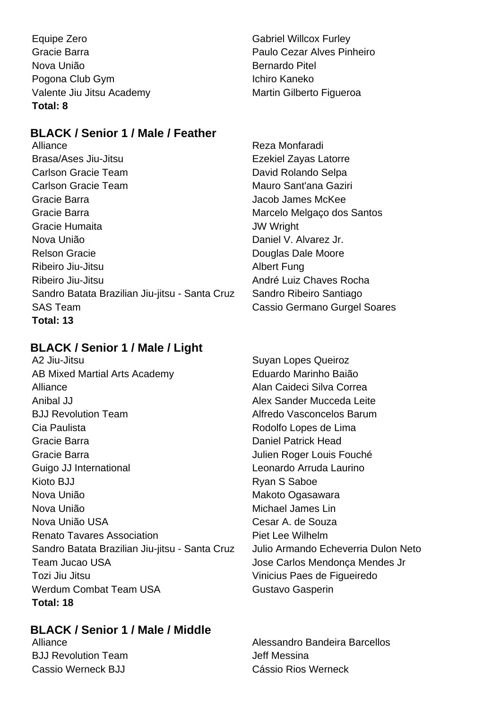Equipe Zero **Gabriel Willcox Furley** Gracie Barra Paulo Cezar Alves Pinheiro Nova União **Bernardo Pitel** Pogona Club Gym **Ichiro Kaneko** Valente Jiu Jitsu Academy Martin Gilberto Figueroa **Total: 8**

#### **BLACK / Senior 1 / Male / Feather**

Alliance **Reza Monfaradi** Brasa/Ases Jiu-Jitsu **Exekiel Zayas Latorre** Carlson Gracie Team **David Rolando Selpa** Carlson Gracie Team Mauro Sant'ana Gaziri Gracie Barra Jacob James McKee Gracie Barra **Marcelo Melgaço dos Santos** Marcelo Melgaço dos Santos Gracie Humaita JW Wright Nova União **Daniel V. Alvarez Jr.** Relson Gracie **Douglas Dale Moore** Ribeiro Jiu-Jitsu **Albert Fung** Ribeiro Jiu-Jitsu André Luiz Chaves Rocha Sandro Batata Brazilian Jiu-jitsu - Santa Cruz Sandro Ribeiro Santiago SAS Team Cassio Germano Gurgel Soares **Total: 13**

**BLACK / Senior 1 / Male / Light**

A2 Jiu-Jitsu **National Suyan Lopes Queiroz** Suyan Lopes Queiroz AB Mixed Martial Arts Academy Eduardo Marinho Baião Alliance Alliance Alan Caideci Silva Correa Anibal JJ Alex Sander Mucceda Leite BJJ Revolution Team **Alfredo Vasconcelos Barum** Cia Paulista **Cia Paulista Cia Paulista Rodolfo Lopes de Lima** Gracie Barra **Daniel Patrick Head** Gracie Barra Julien Roger Louis Fouché Guigo JJ International **Leonardo Arruda Laurino** Kioto BJJ Ryan S Saboe Nova União **Makoto Ogasawara** Nova União Michael James Lin Nova União USA Cesar A. de Souza Renato Tavares Association **Piet Lee Wilhelm** Sandro Batata Brazilian Jiu-jitsu - Santa Cruz Julio Armando Echeverria Dulon Neto Team Jucao USA Jose Carlos Mendonça Mendes Jr Tozi Jiu Jitsu Vinicius Paes de Figueiredo Werdum Combat Team USA Gustavo Gasperin **Total: 18**

#### **BLACK / Senior 1 / Male / Middle**

**BJJ Revolution Team Contract Contract Contract Contract Contract Contract Contract Contract Contract Contract Contract Contract Contract Contract Contract Contract Contract Contract Contract Contract Contract Contract Con** Cassio Werneck BJJ Cássio Rios Werneck

Alliance Alessandro Bandeira Barcellos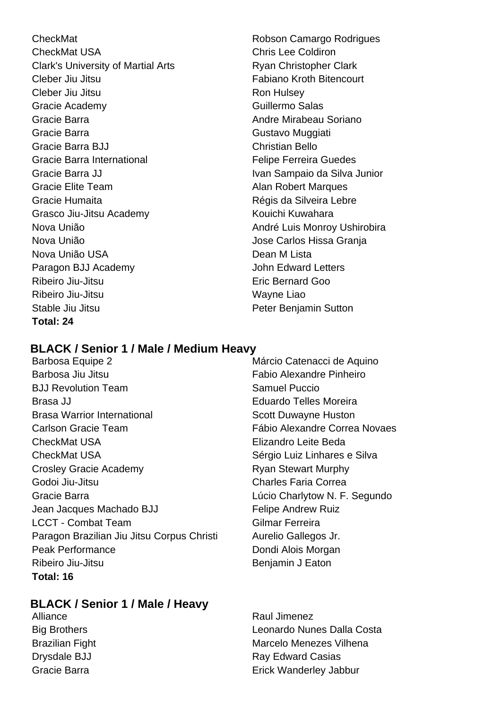CheckMat **CheckMat Robson Camargo Rodrigues** CheckMat USA Chris Lee Coldiron Clark's University of Martial Arts **Ryan Christopher Clark** Cleber Jiu Jitsu Fabiano Kroth Bitencourt Cleber Jiu Jitsu **Ron Hulsey** Ron Hulsey Gracie Academy **Guillermo** Salas Gracie Barra **Andre Mirabeau Soriano** Andre Mirabeau Soriano Gracie Barra **Gustavo Muggiati** Gracie Barra BJJ Christian Bello Gracie Barra International **Felipe Ferreira** Guedes Gracie Barra JJ **IVAN SAMPAIO CONTROLLER IN SAMPAIO DE SILVA JUNIOR** IVAN SAMPAIO da Silva Junior Gracie Elite Team **Alan Robert Marques** Gracie Humaita **Régis da Silveira Lebre** Régis da Silveira Lebre Grasco Jiu-Jitsu Academy **Kouichi Kuwahara** Nova União **André Luis Monroy Ushirobira** Nova União **Nova União** de Carlos Hissa Granja Nova União USA Dean M Lista Paragon BJJ Academy **Constructs** John Edward Letters Ribeiro Jiu-Jitsu **Eric Bernard Goo** Ribeiro Jiu-Jitsu Wayne Liao Stable Jiu Jitsu **Peter Benjamin Sutton Total: 24**

#### **BLACK / Senior 1 / Male / Medium Heavy**

Barbosa Equipe 2 Márcio Catenacci de Aquino Barbosa Jiu Jitsu **Fabio Alexandre Pinheiro BJJ Revolution Team Samuel Puccio** Brasa JJ Eduardo Telles Moreira Brasa Warrior International Scott Duwayne Huston Carlson Gracie Team Fábio Alexandre Correa Novaes CheckMat USA Elizandro Leite Beda CheckMat USA Sérgio Luiz Linhares e Silva Crosley Gracie Academy **Ryan Stewart Murphy** Godoi Jiu-Jitsu Charles Faria Correa Gracie Barra **Lúcio Charlytow N. F. Segundo** Jean Jacques Machado BJJ Felipe Andrew Ruiz LCCT - Combat Team Gilmar Ferreira Paragon Brazilian Jiu Jitsu Corpus Christi Aurelio Gallegos Jr. Peak Performance **Dondi Alois Morgan** Ribeiro Jiu-Jitsu **Benjamin J Eaton Total: 16**

#### **BLACK / Senior 1 / Male / Heavy**

Alliance **Raul Jimenez** Big Brothers Leonardo Nunes Dalla Costa Brazilian Fight Marcelo Menezes Vilhena Drysdale BJJ Ray Edward Casias Gracie Barra **Erick Wanderley Jabbur** Erick Wanderley Jabbur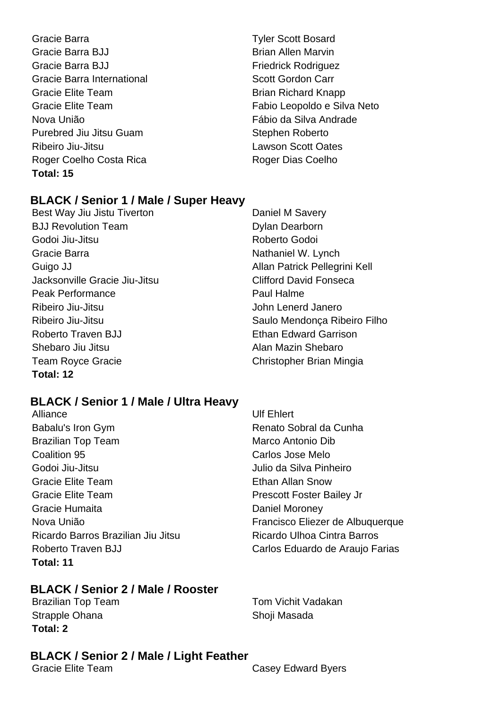- Gracie Barra **Tyler Scott Bosard** Gracie Barra BJJ Brian Allen Marvin Gracie Barra BJJ **Friedrick Rodriguez** Gracie Barra International **Scott Gordon Carr** Scott Gordon Carr Gracie Elite Team Brian Richard Knapp Nova União **Fábio da Silva Andrade** Purebred Jiu Jitsu Guam Stephen Roberto Ribeiro Jiu-Jitsu Lawson Scott Oates Roger Coelho Costa Rica Roger Dias Coelho **Total: 15**
- Gracie Elite Team Fabio Leopoldo e Silva Neto

#### **BLACK / Senior 1 / Male / Super Heavy**

Best Way Jiu Jistu Tiverton **Daniel M Savery** BJJ Revolution Team Dylan Dearborn Godoi Jiu-Jitsu **New York Construction Construction** Roberto Godoi Gracie Barra **Nathaniel W. Lynch** Nathaniel W. Lynch Guigo JJ **Allan Patrick Pellegrini Kell** Jacksonville Gracie Jiu-Jitsu Clifford David Fonseca Peak Performance **Paul Halme** Ribeiro Jiu-Jitsu **Galimeiro III e a Contra Contra Contra Contra Contra Contra Contra Contra Contra Contra Contra Contra Contra Contra Contra Contra Contra Contra Contra Contra Contra Contra Contra Contra Contra Contra Con** Roberto Traven BJJ Ethan Edward Garrison Shebaro Jiu Jitsu Alan Mazin Shebaro Team Royce Gracie Christopher Brian Mingia **Total: 12**

Ribeiro Jiu-Jitsu Saulo Mendonça Ribeiro Filho

#### **BLACK / Senior 1 / Male / Ultra Heavy**

Alliance Ulf Ehlert Babalu's Iron Gym **Babalu's Iron Gym** Renato Sobral da Cunha Brazilian Top Team Marco Antonio Dib **Coalition 95 Carlos Jose Melo** Godoi Jiu-Jitsu Julio da Silva Pinheiro Gracie Elite Team **Ethan Allan Snow** Gracie Elite Team **Prescott Foster Bailey Jr** Prescott Foster Bailey Jr Gracie Humaita **Daniel Moroney** Ricardo Barros Brazilian Jiu Jitsu Ricardo Ulhoa Cintra Barros Roberto Traven BJJ Carlos Eduardo de Araujo Farias **Total: 11**

#### **BLACK / Senior 2 / Male / Rooster**

Brazilian Top Team Tom Vichit Vadakan Strapple Ohana Shoji Masada **Total: 2**

# **BLACK / Senior 2 / Male / Light Feather**

Nova União **Francisco Eliezer de Albuquerque** 

**Casey Edward Byers**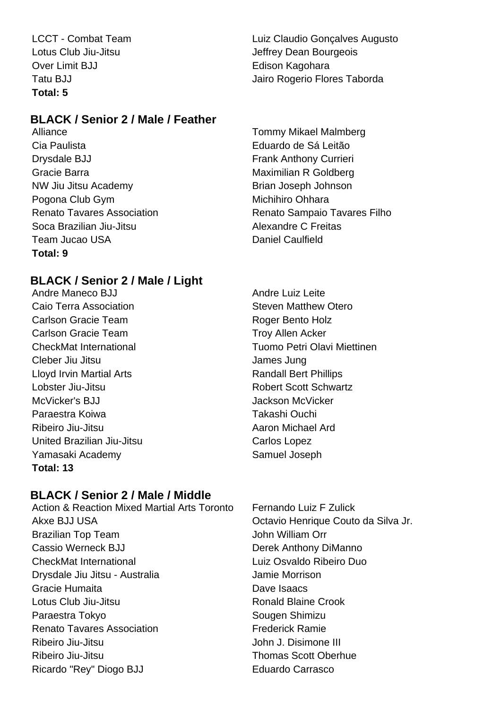Over Limit BJJ **Edison Kagohara Total: 5**

#### **BLACK / Senior 2 / Male / Feather**

Alliance **Tommy Mikael Malmberg** Cia Paulista Eduardo de Sá Leitão Drysdale BJJ Frank Anthony Currieri Gracie Barra **Maximilian R** Goldberg **Maximilian R** Goldberg NW Jiu Jitsu Academy **Brian Joseph Johnson** Pogona Club Gym **Michihiro** Ohhara Soca Brazilian Jiu-Jitsu **Alexandre C Freitas** Team Jucao USA Daniel Caulfield **Total: 9**

#### **BLACK / Senior 2 / Male / Light**

Andre Maneco B.I.I Andre Luiz Leite Caio Terra Association **Steven Matthew Otero** Steven Matthew Otero Carlson Gracie Team **Roger Bento Holz** Carlson Gracie Team Troy Allen Acker Cleber Jiu Jitsu James Jung Lloyd Irvin Martial Arts **Randall Bert Phillips** Lobster Jiu-Jitsu Robert Scott Schwartz McVicker's BJJ **Jackson McVicker** Paraestra Koiwa Takashi Ouchi Ribeiro Jiu-Jitsu **Aaron Michael Ard** Aaron Michael Ard United Brazilian Jiu-Jitsu Carlos Lopez Yamasaki Academy Samuel Joseph **Total: 13**

LCCT - Combat Team Luiz Claudio Gonçalves Augusto Lotus Club Jiu-Jitsu **Jeffrey Dean Bourgeois** Tatu BJJ **Jairo Rogerio Flores Taborda** 

Renato Tavares Association **Renato Sampaio Tavares Filho** 

CheckMat International Tuomo Petri Olavi Miettinen

#### **BLACK / Senior 2 / Male / Middle**

Action & Reaction Mixed Martial Arts Toronto Fernando Luiz F Zulick Akxe BJJ USA Octavio Henrique Couto da Silva Jr. Brazilian Top Team **John William Orr** Cassio Werneck BJJ Derek Anthony DiManno CheckMat International Luiz Osvaldo Ribeiro Duo Drysdale Jiu Jitsu - Australia Jamie Morrison Gracie Humaita Dave Isaacs Lotus Club Jiu-Jitsu Ronald Blaine Crook Paraestra Tokyo Sougen Shimizu Renato Tavares Association **Financial Renato Tavares Association** Ribeiro Jiu-Jitsu John J. Disimone III Ribeiro Jiu-Jitsu Thomas Scott Oberhue Ricardo "Rey" Diogo BJJ Eduardo Carrasco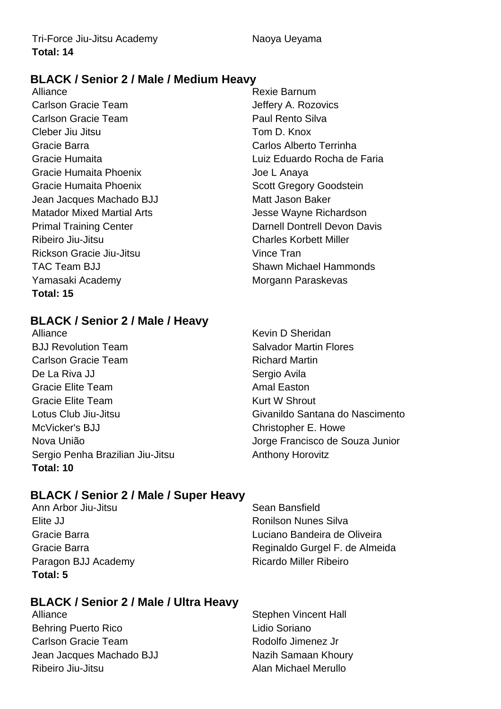#### **BLACK / Senior 2 / Male / Medium Heavy**

Alliance **Rexie Barnum** Carlson Gracie Team Jeffery A. Rozovics Carlson Gracie Team **Paul Rento Silva** Cleber Jiu Jitsu Tom D. Knox Gracie Barra Carlos Alberto Terrinha Gracie Humaita Phoenix **Gracie Lanaya** Gracie Humaita Phoenix **Scott Gregory Goodstein** Jean Jacques Machado BJJ Matt Jason Baker Matador Mixed Martial Arts **Matador Mixed Martial Arts** Jesse Wayne Richardson Ribeiro Jiu-Jitsu Charles Korbett Miller Rickson Gracie Jiu-Jitsu Vince Tran TAC Team BJJ **Shawn Michael Hammonds** Yamasaki Academy **Morgann** Paraskevas **Total: 15**

Gracie Humaita Luiz Eduardo Rocha de Faria Primal Training Center **Darnell Dontrell Devon Davis** 

#### **BLACK / Senior 2 / Male / Heavy**

Alliance Kevin D Sheridan BJJ Revolution Team Salvador Martin Flores Carlson Gracie Team **Richard Martin** De La Riva JJ Sergio Avila Gracie Elite Team **Amal Easton** Gracie Elite Team **Kurt W** Shrout McVicker's BJJ Christopher E. Howe Sergio Penha Brazilian Jiu-Jitsu **Anthony Horovitz Total: 10**

Lotus Club Jiu-Jitsu Givanildo Santana do Nascimento Nova União **Nova União** de Souza Junior

#### **BLACK / Senior 2 / Male / Super Heavy**

Ann Arbor Jiu-Jitsu **Sean Bansfield** Elite JJ **Ronilson Nunes** Silva Paragon BJJ Academy Ricardo Miller Ribeiro **Total: 5**

Gracie Barra Luciano Bandeira de Oliveira Gracie Barra **Reginaldo Gurgel F. de Almeida** 

#### **BLACK / Senior 2 / Male / Ultra Heavy**

Behring Puerto Rico **Lidio Soriano** Carlson Gracie Team **Rodolfo** Jimenez Jr Jean Jacques Machado BJJ Nazih Samaan Khoury Ribeiro Jiu-Jitsu **Alan Michael Merullo** 

Alliance **Stephen Vincent Hall**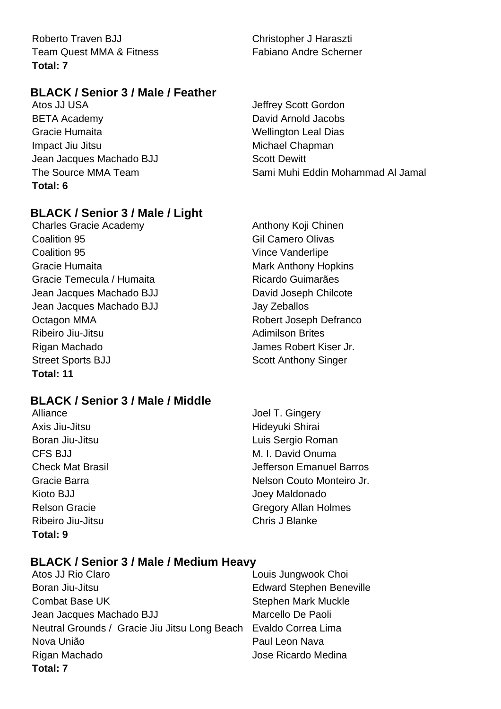Roberto Traven BJJ Christopher J Haraszti Team Quest MMA & Fitness Fabiano Andre Scherner **Total: 7**

#### **BLACK / Senior 3 / Male / Feather**

Atos JJ USA **Juliet Community** Scott Gordon BETA Academy **David Arnold Jacobs** Gracie Humaita **Manual Accord Contract Contract Contract Contract Contract Contract Contract Contract Contract Contract Contract Contract Contract Contract Contract Contract Contract Contract Contract Contract Contract Con** Impact Jiu Jitsu **Michael Chapman** Jean Jacques Machado BJJ Scott Dewitt **Total: 6**

The Source MMA Team Sami Muhi Eddin Mohammad Al Jamal

#### **BLACK / Senior 3 / Male / Light**

Charles Gracie Academy **Anthony Koji Chinen** Coalition 95 Gil Camero Olivas **Coalition 95** Vince Vanderlipe Gracie Humaita **Mark Anthony Hopkins** Mark Anthony Hopkins Gracie Temecula / Humaita Ricardo Guimarães Jean Jacques Machado BJJ David Joseph Chilcote Jean Jacques Machado BJJ Jay Zeballos Octagon MMA **Robert Joseph Defranco** Ribeiro Jiu-Jitsu **Adimilson Brites** Adimilson Brites Rigan Machado **James Robert Kiser Jr.** Street Sports BJJ Scott Anthony Singer **Total: 11**

#### **BLACK / Senior 3 / Male / Middle**

Axis Jiu-Jitsu **Hideyuki Shirai** Kioto BJJ **Joey Maldonado** Ribeiro Jiu-Jitsu Chris J Blanke **Total: 9**

Alliance Joel T. Gingery Boran Jiu-Jitsu **Luis Sergio Roman** CFS BJJ M. I. David Onuma Check Mat Brasil Jefferson Emanuel Barros Gracie Barra **Nelson Couto Monteiro Jr.** Nelson Couto Monteiro Jr. Relson Gracie Gregory Allan Holmes

#### **BLACK / Senior 3 / Male / Medium Heavy**

Atos JJ Rio Claro **Louis Jungwook Choi** Boran Jiu-Jitsu Edward Stephen Beneville Combat Base UK Stephen Mark Muckle Jean Jacques Machado BJJ Marcello De Paoli Neutral Grounds / Gracie Jiu Jitsu Long Beach Evaldo Correa Lima Nova União Paul Leon Nava Rigan Machado **National Studiers Accepts** Jose Ricardo Medina **Total: 7**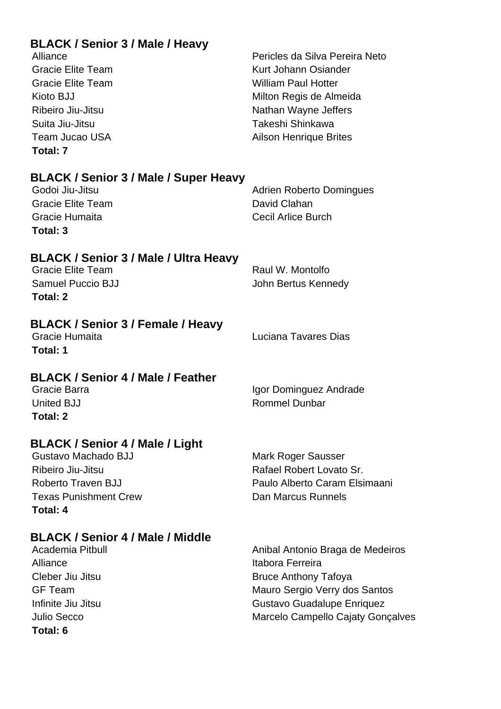| <b>BLACK / Senior 3 / Male / Heavy</b><br>Alliance<br><b>Gracie Elite Team</b><br><b>Gracie Elite Team</b><br>Kioto BJJ<br>Ribeiro Jiu-Jitsu<br>Suita Jiu-Jitsu<br><b>Team Jucao USA</b><br>Total: 7 | Pericles da Silva Pereira Neto<br>Kurt Johann Osiander<br><b>William Paul Hotter</b><br>Milton Regis de Almeida<br>Nathan Wayne Jeffers<br>Takeshi Shinkawa<br><b>Ailson Henrique Brites</b> |
|------------------------------------------------------------------------------------------------------------------------------------------------------------------------------------------------------|----------------------------------------------------------------------------------------------------------------------------------------------------------------------------------------------|
| <b>BLACK / Senior 3 / Male / Super Heavy</b><br>Godoi Jiu-Jitsu<br><b>Gracie Elite Team</b><br>Gracie Humaita<br>Total: 3                                                                            | <b>Adrien Roberto Domingues</b><br>David Clahan<br><b>Cecil Arlice Burch</b>                                                                                                                 |
| BLACK / Senior 3 / Male / Ultra Heavy<br><b>Gracie Elite Team</b><br><b>Samuel Puccio BJJ</b><br>Total: 2                                                                                            | Raul W. Montolfo<br>John Bertus Kennedy                                                                                                                                                      |
| <b>BLACK / Senior 3 / Female / Heavy</b><br>Gracie Humaita<br>Total: 1                                                                                                                               | Luciana Tavares Dias                                                                                                                                                                         |
| <b>BLACK / Senior 4 / Male / Feather</b><br>Gracie Barra<br>United BJJ<br>Total: 2                                                                                                                   | Igor Dominguez Andrade<br>Rommel Dunbar                                                                                                                                                      |
| <b>BLACK / Senior 4 / Male / Light</b><br>Gustavo Machado BJJ<br>Ribeiro Jiu-Jitsu<br>Roberto Traven BJJ<br><b>Texas Punishment Crew</b><br>Total: 4                                                 | Mark Roger Sausser<br>Rafael Robert Lovato Sr.<br>Paulo Alberto Caram Elsimaani<br>Dan Marcus Runnels                                                                                        |
| <b>BLACK / Senior 4 / Male / Middle</b><br>Academia Pitbull<br>Alliance<br>Cleber Jiu Jitsu<br><b>GF Team</b><br>Infinite Jiu Jitsu<br><b>Julio Secco</b><br>Total: 6                                | Anibal Antonio Braga de Medeiros<br>Itabora Ferreira<br><b>Bruce Anthony Tafoya</b><br>Mauro Sergio Verry dos Santos<br>Gustavo Guadalupe Enriquez<br>Marcelo Campello Cajaty Gonçalves      |